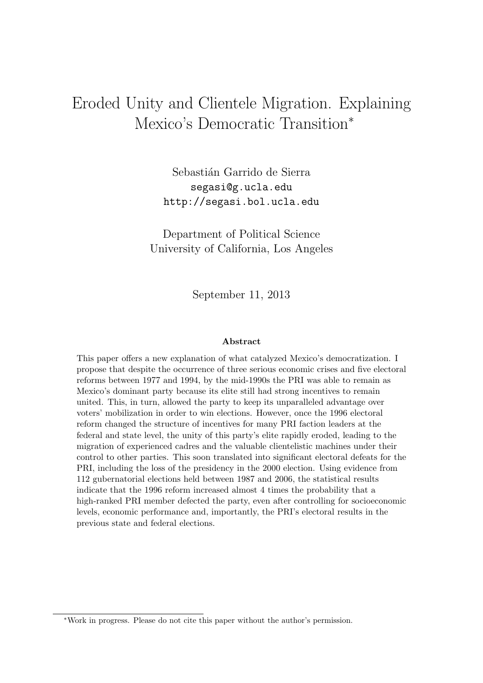# Eroded Unity and Clientele Migration. Explaining Mexico's Democratic Transition<sup>∗</sup>

Sebastián Garrido de Sierra segasi@g.ucla.edu http://segasi.bol.ucla.edu

Department of Political Science University of California, Los Angeles

September 11, 2013

#### Abstract

This paper offers a new explanation of what catalyzed Mexico's democratization. I propose that despite the occurrence of three serious economic crises and five electoral reforms between 1977 and 1994, by the mid-1990s the PRI was able to remain as Mexico's dominant party because its elite still had strong incentives to remain united. This, in turn, allowed the party to keep its unparalleled advantage over voters' mobilization in order to win elections. However, once the 1996 electoral reform changed the structure of incentives for many PRI faction leaders at the federal and state level, the unity of this party's elite rapidly eroded, leading to the migration of experienced cadres and the valuable clientelistic machines under their control to other parties. This soon translated into significant electoral defeats for the PRI, including the loss of the presidency in the 2000 election. Using evidence from 112 gubernatorial elections held between 1987 and 2006, the statistical results indicate that the 1996 reform increased almost 4 times the probability that a high-ranked PRI member defected the party, even after controlling for socioeconomic levels, economic performance and, importantly, the PRI's electoral results in the previous state and federal elections.

<sup>∗</sup>Work in progress. Please do not cite this paper without the author's permission.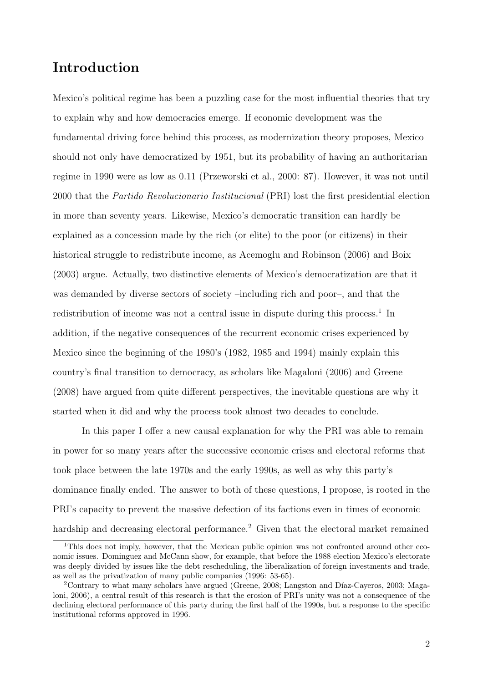## Introduction

Mexico's political regime has been a puzzling case for the most influential theories that try to explain why and how democracies emerge. If economic development was the fundamental driving force behind this process, as modernization theory proposes, Mexico should not only have democratized by 1951, but its probability of having an authoritarian regime in 1990 were as low as 0.11 (Przeworski et al., 2000: 87). However, it was not until 2000 that the Partido Revolucionario Institucional (PRI) lost the first presidential election in more than seventy years. Likewise, Mexico's democratic transition can hardly be explained as a concession made by the rich (or elite) to the poor (or citizens) in their historical struggle to redistribute income, as Acemoglu and Robinson (2006) and Boix (2003) argue. Actually, two distinctive elements of Mexico's democratization are that it was demanded by diverse sectors of society –including rich and poor–, and that the redistribution of income was not a central issue in dispute during this process.<sup>1</sup> In addition, if the negative consequences of the recurrent economic crises experienced by Mexico since the beginning of the 1980's (1982, 1985 and 1994) mainly explain this country's final transition to democracy, as scholars like Magaloni (2006) and Greene (2008) have argued from quite different perspectives, the inevitable questions are why it started when it did and why the process took almost two decades to conclude.

In this paper I offer a new causal explanation for why the PRI was able to remain in power for so many years after the successive economic crises and electoral reforms that took place between the late 1970s and the early 1990s, as well as why this party's dominance finally ended. The answer to both of these questions, I propose, is rooted in the PRI's capacity to prevent the massive defection of its factions even in times of economic hardship and decreasing electoral performance.<sup>2</sup> Given that the electoral market remained

<sup>&</sup>lt;sup>1</sup>This does not imply, however, that the Mexican public opinion was not confronted around other economic issues. Dominguez and McCann show, for example, that before the 1988 election Mexico's electorate was deeply divided by issues like the debt rescheduling, the liberalization of foreign investments and trade, as well as the privatization of many public companies (1996: 53-65).

<sup>&</sup>lt;sup>2</sup>Contrary to what many scholars have argued (Greene, 2008; Langston and Díaz-Cayeros, 2003; Magaloni, 2006), a central result of this research is that the erosion of PRI's unity was not a consequence of the declining electoral performance of this party during the first half of the 1990s, but a response to the specific institutional reforms approved in 1996.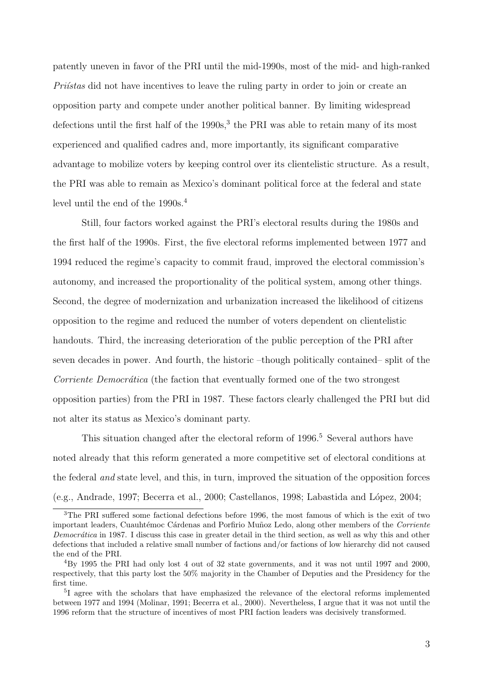patently uneven in favor of the PRI until the mid-1990s, most of the mid- and high-ranked  $Pri'stas$  did not have incentives to leave the ruling party in order to join or create an opposition party and compete under another political banner. By limiting widespread defections until the first half of the  $1990s<sup>3</sup>$ , the PRI was able to retain many of its most experienced and qualified cadres and, more importantly, its significant comparative advantage to mobilize voters by keeping control over its clientelistic structure. As a result, the PRI was able to remain as Mexico's dominant political force at the federal and state level until the end of the  $1990s<sup>4</sup>$ .

Still, four factors worked against the PRI's electoral results during the 1980s and the first half of the 1990s. First, the five electoral reforms implemented between 1977 and 1994 reduced the regime's capacity to commit fraud, improved the electoral commission's autonomy, and increased the proportionality of the political system, among other things. Second, the degree of modernization and urbanization increased the likelihood of citizens opposition to the regime and reduced the number of voters dependent on clientelistic handouts. Third, the increasing deterioration of the public perception of the PRI after seven decades in power. And fourth, the historic –though politically contained– split of the Corriente Democrática (the faction that eventually formed one of the two strongest opposition parties) from the PRI in 1987. These factors clearly challenged the PRI but did not alter its status as Mexico's dominant party.

This situation changed after the electoral reform of  $1996<sup>5</sup>$  Several authors have noted already that this reform generated a more competitive set of electoral conditions at the federal and state level, and this, in turn, improved the situation of the opposition forces  $(e.g., Andrade, 1997; Becerra et al., 2000; Castellanos, 1998; Labastida and López, 2004;$ 

<sup>&</sup>lt;sup>3</sup>The PRI suffered some factional defections before 1996, the most famous of which is the exit of two important leaders, Cuauhtémoc Cárdenas and Porfirio Muñoz Ledo, along other members of the Corriente Democrática in 1987. I discuss this case in greater detail in the third section, as well as why this and other defections that included a relative small number of factions and/or factions of low hierarchy did not caused the end of the PRI.

<sup>4</sup>By 1995 the PRI had only lost 4 out of 32 state governments, and it was not until 1997 and 2000, respectively, that this party lost the 50% majority in the Chamber of Deputies and the Presidency for the first time.

<sup>&</sup>lt;sup>5</sup>I agree with the scholars that have emphasized the relevance of the electoral reforms implemented between 1977 and 1994 (Molinar, 1991; Becerra et al., 2000). Nevertheless, I argue that it was not until the 1996 reform that the structure of incentives of most PRI faction leaders was decisively transformed.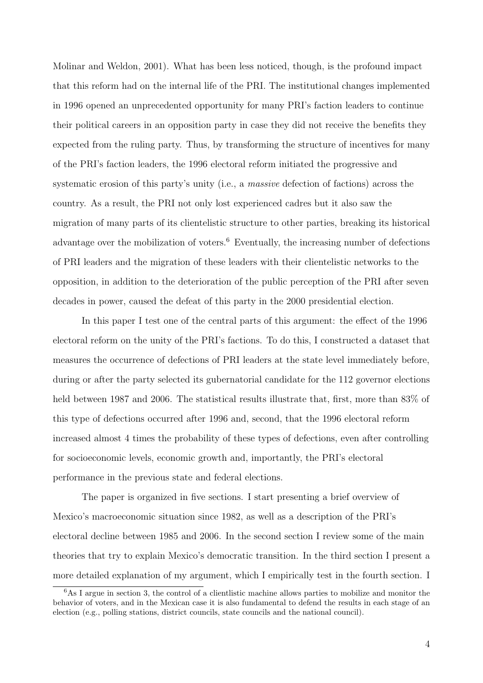Molinar and Weldon, 2001). What has been less noticed, though, is the profound impact that this reform had on the internal life of the PRI. The institutional changes implemented in 1996 opened an unprecedented opportunity for many PRI's faction leaders to continue their political careers in an opposition party in case they did not receive the benefits they expected from the ruling party. Thus, by transforming the structure of incentives for many of the PRI's faction leaders, the 1996 electoral reform initiated the progressive and systematic erosion of this party's unity (i.e., a *massive* defection of factions) across the country. As a result, the PRI not only lost experienced cadres but it also saw the migration of many parts of its clientelistic structure to other parties, breaking its historical advantage over the mobilization of voters.<sup>6</sup> Eventually, the increasing number of defections of PRI leaders and the migration of these leaders with their clientelistic networks to the opposition, in addition to the deterioration of the public perception of the PRI after seven decades in power, caused the defeat of this party in the 2000 presidential election.

In this paper I test one of the central parts of this argument: the effect of the 1996 electoral reform on the unity of the PRI's factions. To do this, I constructed a dataset that measures the occurrence of defections of PRI leaders at the state level immediately before, during or after the party selected its gubernatorial candidate for the 112 governor elections held between 1987 and 2006. The statistical results illustrate that, first, more than 83% of this type of defections occurred after 1996 and, second, that the 1996 electoral reform increased almost 4 times the probability of these types of defections, even after controlling for socioeconomic levels, economic growth and, importantly, the PRI's electoral performance in the previous state and federal elections.

The paper is organized in five sections. I start presenting a brief overview of Mexico's macroeconomic situation since 1982, as well as a description of the PRI's electoral decline between 1985 and 2006. In the second section I review some of the main theories that try to explain Mexico's democratic transition. In the third section I present a more detailed explanation of my argument, which I empirically test in the fourth section. I

 $6$ As I argue in section 3, the control of a clientlistic machine allows parties to mobilize and monitor the behavior of voters, and in the Mexican case it is also fundamental to defend the results in each stage of an election (e.g., polling stations, district councils, state councils and the national council).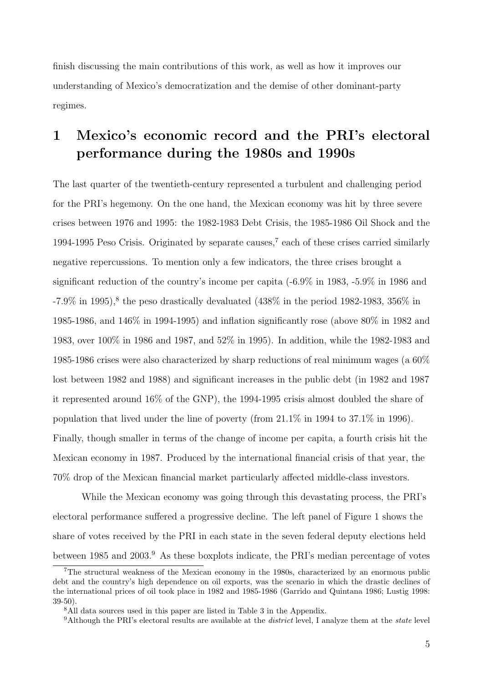finish discussing the main contributions of this work, as well as how it improves our understanding of Mexico's democratization and the demise of other dominant-party regimes.

# 1 Mexico's economic record and the PRI's electoral performance during the 1980s and 1990s

The last quarter of the twentieth-century represented a turbulent and challenging period for the PRI's hegemony. On the one hand, the Mexican economy was hit by three severe crises between 1976 and 1995: the 1982-1983 Debt Crisis, the 1985-1986 Oil Shock and the 1994-1995 Peso Crisis. Originated by separate causes,<sup>7</sup> each of these crises carried similarly negative repercussions. To mention only a few indicators, the three crises brought a significant reduction of the country's income per capita (-6.9% in 1983, -5.9% in 1986 and  $-7.9\%$  in 1995),<sup>8</sup> the peso drastically devaluated (438% in the period 1982-1983, 356% in 1985-1986, and 146% in 1994-1995) and inflation significantly rose (above 80% in 1982 and 1983, over 100% in 1986 and 1987, and 52% in 1995). In addition, while the 1982-1983 and 1985-1986 crises were also characterized by sharp reductions of real minimum wages (a 60% lost between 1982 and 1988) and significant increases in the public debt (in 1982 and 1987 it represented around 16% of the GNP), the 1994-1995 crisis almost doubled the share of population that lived under the line of poverty (from 21.1% in 1994 to 37.1% in 1996). Finally, though smaller in terms of the change of income per capita, a fourth crisis hit the Mexican economy in 1987. Produced by the international financial crisis of that year, the 70% drop of the Mexican financial market particularly affected middle-class investors.

While the Mexican economy was going through this devastating process, the PRI's electoral performance suffered a progressive decline. The left panel of Figure 1 shows the share of votes received by the PRI in each state in the seven federal deputy elections held between 1985 and 2003.<sup>9</sup> As these boxplots indicate, the PRI's median percentage of votes

<sup>7</sup>The structural weakness of the Mexican economy in the 1980s, characterized by an enormous public debt and the country's high dependence on oil exports, was the scenario in which the drastic declines of the international prices of oil took place in 1982 and 1985-1986 (Garrido and Quintana 1986; Lustig 1998: 39-50).

<sup>&</sup>lt;sup>8</sup>All data sources used in this paper are listed in Table 3 in the Appendix.

<sup>&</sup>lt;sup>9</sup>Although the PRI's electoral results are available at the *district* level, I analyze them at the *state* level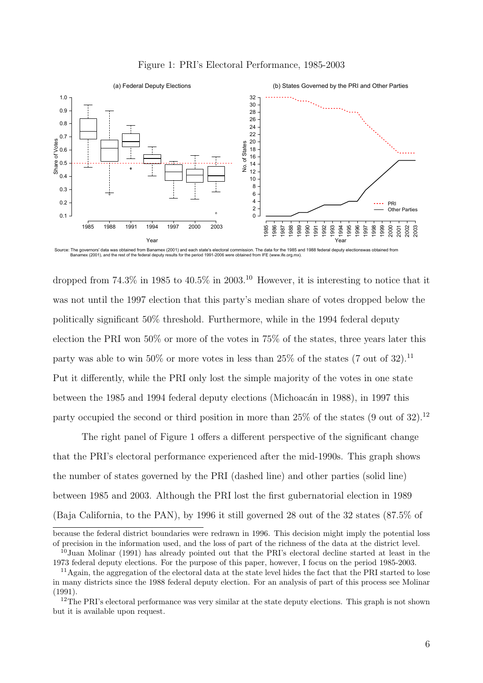



Source: The governors' data was obtained from Banamex (2001) and each state's electoral commission. The data for the 1985 and 1988 federal deputy electionswas obtained from<br>Banamex (2001), and the rest of the federal deput

dropped from  $74.3\%$  in 1985 to  $40.5\%$  in 2003.<sup>10</sup> However, it is interesting to notice that it was not until the 1997 election that this party's median share of votes dropped below the politically significant 50% threshold. Furthermore, while in the 1994 federal deputy election the PRI won 50% or more of the votes in 75% of the states, three years later this party was able to win 50% or more votes in less than 25% of the states (7 out of 32).<sup>11</sup> Put it differently, while the PRI only lost the simple majority of the votes in one state between the 1985 and 1994 federal deputy elections (Michoacán in 1988), in 1997 this party occupied the second or third position in more than  $25\%$  of the states (9 out of 32).<sup>12</sup>

The right panel of Figure 1 offers a different perspective of the significant change that the PRI's electoral performance experienced after the mid-1990s. This graph shows the number of states governed by the PRI (dashed line) and other parties (solid line) between 1985 and 2003. Although the PRI lost the first gubernatorial election in 1989 (Baja California, to the PAN), by 1996 it still governed 28 out of the 32 states (87.5% of

because the federal district boundaries were redrawn in 1996. This decision might imply the potential loss of precision in the information used, and the loss of part of the richness of the data at the district level.

<sup>&</sup>lt;sup>10</sup>Juan Molinar (1991) has already pointed out that the PRI's electoral decline started at least in the 1973 federal deputy elections. For the purpose of this paper, however, I focus on the period 1985-2003.

<sup>11</sup>Again, the aggregation of the electoral data at the state level hides the fact that the PRI started to lose in many districts since the 1988 federal deputy election. For an analysis of part of this process see Molinar (1991).

<sup>&</sup>lt;sup>12</sup>The PRI's electoral performance was very similar at the state deputy elections. This graph is not shown but it is available upon request.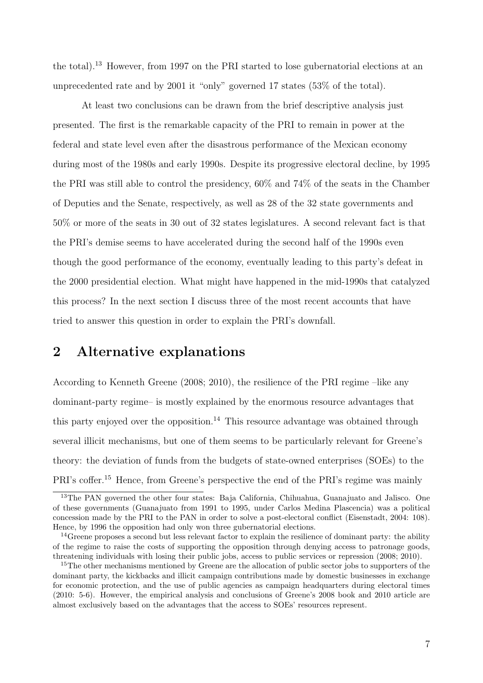the total).<sup>13</sup> However, from 1997 on the PRI started to lose gubernatorial elections at an unprecedented rate and by 2001 it "only" governed 17 states (53% of the total).

At least two conclusions can be drawn from the brief descriptive analysis just presented. The first is the remarkable capacity of the PRI to remain in power at the federal and state level even after the disastrous performance of the Mexican economy during most of the 1980s and early 1990s. Despite its progressive electoral decline, by 1995 the PRI was still able to control the presidency, 60% and 74% of the seats in the Chamber of Deputies and the Senate, respectively, as well as 28 of the 32 state governments and 50% or more of the seats in 30 out of 32 states legislatures. A second relevant fact is that the PRI's demise seems to have accelerated during the second half of the 1990s even though the good performance of the economy, eventually leading to this party's defeat in the 2000 presidential election. What might have happened in the mid-1990s that catalyzed this process? In the next section I discuss three of the most recent accounts that have tried to answer this question in order to explain the PRI's downfall.

## 2 Alternative explanations

According to Kenneth Greene (2008; 2010), the resilience of the PRI regime –like any dominant-party regime– is mostly explained by the enormous resource advantages that this party enjoyed over the opposition.<sup>14</sup> This resource advantage was obtained through several illicit mechanisms, but one of them seems to be particularly relevant for Greene's theory: the deviation of funds from the budgets of state-owned enterprises (SOEs) to the PRI's coffer.<sup>15</sup> Hence, from Greene's perspective the end of the PRI's regime was mainly

<sup>&</sup>lt;sup>13</sup>The PAN governed the other four states: Baja California, Chihuahua, Guanajuato and Jalisco. One of these governments (Guanajuato from 1991 to 1995, under Carlos Medina Plascencia) was a political concession made by the PRI to the PAN in order to solve a post-electoral conflict (Eisenstadt, 2004: 108). Hence, by 1996 the opposition had only won three gubernatorial elections.

<sup>&</sup>lt;sup>14</sup>Greene proposes a second but less relevant factor to explain the resilience of dominant party: the ability of the regime to raise the costs of supporting the opposition through denying access to patronage goods, threatening individuals with losing their public jobs, access to public services or repression (2008; 2010).

<sup>&</sup>lt;sup>15</sup>The other mechanisms mentioned by Greene are the allocation of public sector jobs to supporters of the dominant party, the kickbacks and illicit campaign contributions made by domestic businesses in exchange for economic protection, and the use of public agencies as campaign headquarters during electoral times (2010: 5-6). However, the empirical analysis and conclusions of Greene's 2008 book and 2010 article are almost exclusively based on the advantages that the access to SOEs' resources represent.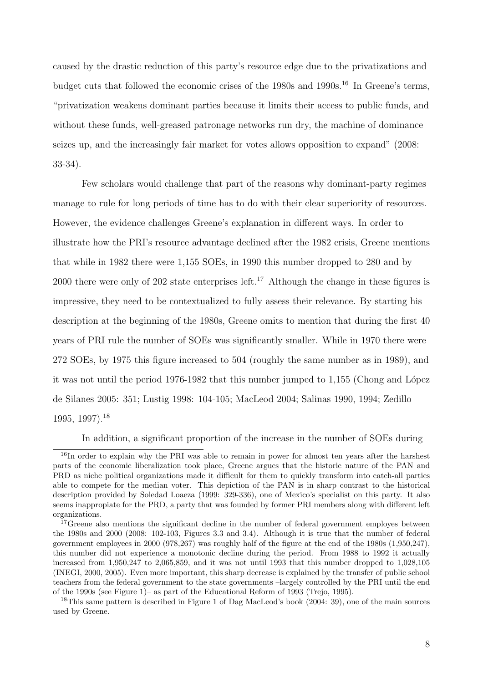caused by the drastic reduction of this party's resource edge due to the privatizations and budget cuts that followed the economic crises of the 1980s and 1990s.<sup>16</sup> In Greene's terms, "privatization weakens dominant parties because it limits their access to public funds, and without these funds, well-greased patronage networks run dry, the machine of dominance seizes up, and the increasingly fair market for votes allows opposition to expand" (2008: 33-34).

Few scholars would challenge that part of the reasons why dominant-party regimes manage to rule for long periods of time has to do with their clear superiority of resources. However, the evidence challenges Greene's explanation in different ways. In order to illustrate how the PRI's resource advantage declined after the 1982 crisis, Greene mentions that while in 1982 there were 1,155 SOEs, in 1990 this number dropped to 280 and by 2000 there were only of 202 state enterprises left.<sup>17</sup> Although the change in these figures is impressive, they need to be contextualized to fully assess their relevance. By starting his description at the beginning of the 1980s, Greene omits to mention that during the first 40 years of PRI rule the number of SOEs was significantly smaller. While in 1970 there were 272 SOEs, by 1975 this figure increased to 504 (roughly the same number as in 1989), and it was not until the period  $1976-1982$  that this number jumped to  $1,155$  (Chong and López de Silanes 2005: 351; Lustig 1998: 104-105; MacLeod 2004; Salinas 1990, 1994; Zedillo 1995, 1997).<sup>18</sup>

In addition, a significant proportion of the increase in the number of SOEs during

<sup>&</sup>lt;sup>16</sup>In order to explain why the PRI was able to remain in power for almost ten years after the harshest parts of the economic liberalization took place, Greene argues that the historic nature of the PAN and PRD as niche political organizations made it difficult for them to quickly transform into catch-all parties able to compete for the median voter. This depiction of the PAN is in sharp contrast to the historical description provided by Soledad Loaeza (1999: 329-336), one of Mexico's specialist on this party. It also seems inappropiate for the PRD, a party that was founded by former PRI members along with different left organizations.

<sup>&</sup>lt;sup>17</sup>Greene also mentions the significant decline in the number of federal government employes between the 1980s and 2000 (2008: 102-103, Figures 3.3 and 3.4). Although it is true that the number of federal government employees in 2000 (978,267) was roughly half of the figure at the end of the 1980s (1,950,247), this number did not experience a monotonic decline during the period. From 1988 to 1992 it actually increased from 1,950,247 to 2,065,859, and it was not until 1993 that this number dropped to 1,028,105 (INEGI, 2000, 2005). Even more important, this sharp decrease is explained by the transfer of public school teachers from the federal government to the state governments –largely controlled by the PRI until the end of the 1990s (see Figure 1)– as part of the Educational Reform of 1993 (Trejo, 1995).

<sup>&</sup>lt;sup>18</sup>This same pattern is described in Figure 1 of Dag MacLeod's book (2004: 39), one of the main sources used by Greene.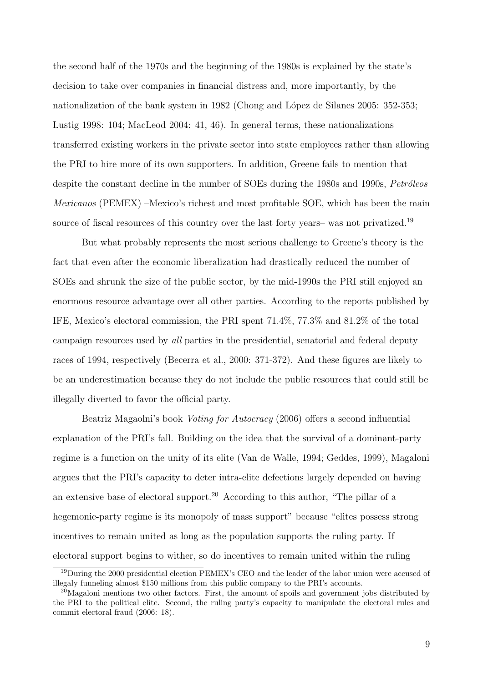the second half of the 1970s and the beginning of the 1980s is explained by the state's decision to take over companies in financial distress and, more importantly, by the nationalization of the bank system in 1982 (Chong and López de Silanes 2005: 352-353; Lustig 1998: 104; MacLeod 2004: 41, 46). In general terms, these nationalizations transferred existing workers in the private sector into state employees rather than allowing the PRI to hire more of its own supporters. In addition, Greene fails to mention that despite the constant decline in the number of SOEs during the 1980s and 1990s, Petróleos Mexicanos (PEMEX) –Mexico's richest and most profitable SOE, which has been the main source of fiscal resources of this country over the last forty years– was not privatized.<sup>19</sup>

But what probably represents the most serious challenge to Greene's theory is the fact that even after the economic liberalization had drastically reduced the number of SOEs and shrunk the size of the public sector, by the mid-1990s the PRI still enjoyed an enormous resource advantage over all other parties. According to the reports published by IFE, Mexico's electoral commission, the PRI spent 71.4%, 77.3% and 81.2% of the total campaign resources used by all parties in the presidential, senatorial and federal deputy races of 1994, respectively (Becerra et al., 2000: 371-372). And these figures are likely to be an underestimation because they do not include the public resources that could still be illegally diverted to favor the official party.

Beatriz Magaolni's book Voting for Autocracy (2006) offers a second influential explanation of the PRI's fall. Building on the idea that the survival of a dominant-party regime is a function on the unity of its elite (Van de Walle, 1994; Geddes, 1999), Magaloni argues that the PRI's capacity to deter intra-elite defections largely depended on having an extensive base of electoral support.<sup>20</sup> According to this author, "The pillar of a hegemonic-party regime is its monopoly of mass support" because "elites possess strong incentives to remain united as long as the population supports the ruling party. If electoral support begins to wither, so do incentives to remain united within the ruling

<sup>&</sup>lt;sup>19</sup>During the 2000 presidential election PEMEX's CEO and the leader of the labor union were accused of illegaly funneling almost \$150 millions from this public company to the PRI's accounts.

 $^{20}$ Magaloni mentions two other factors. First, the amount of spoils and government jobs distributed by the PRI to the political elite. Second, the ruling party's capacity to manipulate the electoral rules and commit electoral fraud (2006: 18).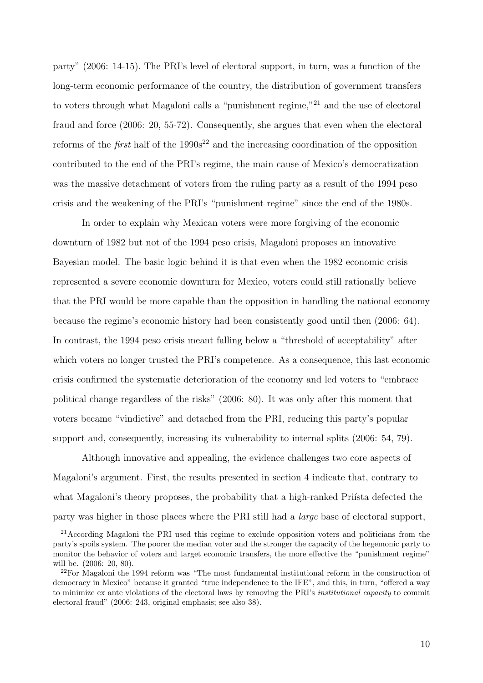party" (2006: 14-15). The PRI's level of electoral support, in turn, was a function of the long-term economic performance of the country, the distribution of government transfers to voters through what Magaloni calls a "punishment regime,"<sup>21</sup> and the use of electoral fraud and force (2006: 20, 55-72). Consequently, she argues that even when the electoral reforms of the *first* half of the  $1990s^{22}$  and the increasing coordination of the opposition contributed to the end of the PRI's regime, the main cause of Mexico's democratization was the massive detachment of voters from the ruling party as a result of the 1994 peso crisis and the weakening of the PRI's "punishment regime" since the end of the 1980s.

In order to explain why Mexican voters were more forgiving of the economic downturn of 1982 but not of the 1994 peso crisis, Magaloni proposes an innovative Bayesian model. The basic logic behind it is that even when the 1982 economic crisis represented a severe economic downturn for Mexico, voters could still rationally believe that the PRI would be more capable than the opposition in handling the national economy because the regime's economic history had been consistently good until then (2006: 64). In contrast, the 1994 peso crisis meant falling below a "threshold of acceptability" after which voters no longer trusted the PRI's competence. As a consequence, this last economic crisis confirmed the systematic deterioration of the economy and led voters to "embrace political change regardless of the risks" (2006: 80). It was only after this moment that voters became "vindictive" and detached from the PRI, reducing this party's popular support and, consequently, increasing its vulnerability to internal splits (2006: 54, 79).

Although innovative and appealing, the evidence challenges two core aspects of Magaloni's argument. First, the results presented in section 4 indicate that, contrary to what Magaloni's theory proposes, the probability that a high-ranked Prista defected the party was higher in those places where the PRI still had a large base of electoral support,

 $^{21}$ According Magaloni the PRI used this regime to exclude opposition voters and politicians from the party's spoils system. The poorer the median voter and the stronger the capacity of the hegemonic party to monitor the behavior of voters and target economic transfers, the more effective the "punishment regime" will be. (2006: 20, 80).

<sup>&</sup>lt;sup>22</sup>For Magaloni the 1994 reform was "The most fundamental institutional reform in the construction of democracy in Mexico" because it granted "true independence to the IFE", and this, in turn, "offered a way to minimize ex ante violations of the electoral laws by removing the PRI's *institutional capacity* to commit electoral fraud" (2006: 243, original emphasis; see also 38).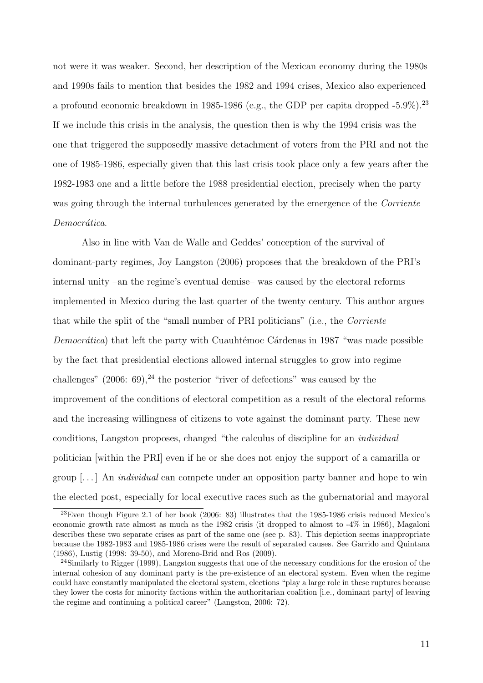not were it was weaker. Second, her description of the Mexican economy during the 1980s and 1990s fails to mention that besides the 1982 and 1994 crises, Mexico also experienced a profound economic breakdown in 1985-1986 (e.g., the GDP per capita dropped  $-5.9\%$ ).<sup>23</sup> If we include this crisis in the analysis, the question then is why the 1994 crisis was the one that triggered the supposedly massive detachment of voters from the PRI and not the one of 1985-1986, especially given that this last crisis took place only a few years after the 1982-1983 one and a little before the 1988 presidential election, precisely when the party was going through the internal turbulences generated by the emergence of the Corriente Democrática.

Also in line with Van de Walle and Geddes' conception of the survival of dominant-party regimes, Joy Langston (2006) proposes that the breakdown of the PRI's internal unity –an the regime's eventual demise– was caused by the electoral reforms implemented in Mexico during the last quarter of the twenty century. This author argues that while the split of the "small number of PRI politicians" (i.e., the Corriente *Democrática*) that left the party with Cuauhtémoc Cárdenas in 1987 "was made possible by the fact that presidential elections allowed internal struggles to grow into regime challenges"  $(2006: 69)$ , <sup>24</sup> the posterior "river of defections" was caused by the improvement of the conditions of electoral competition as a result of the electoral reforms and the increasing willingness of citizens to vote against the dominant party. These new conditions, Langston proposes, changed "the calculus of discipline for an individual politician [within the PRI] even if he or she does not enjoy the support of a camarilla or group  $\left[\ldots\right]$  An *individual* can compete under an opposition party banner and hope to win the elected post, especially for local executive races such as the gubernatorial and mayoral

<sup>23</sup>Even though Figure 2.1 of her book (2006: 83) illustrates that the 1985-1986 crisis reduced Mexico's economic growth rate almost as much as the 1982 crisis (it dropped to almost to -4% in 1986), Magaloni describes these two separate crises as part of the same one (see p. 83). This depiction seems inappropriate because the 1982-1983 and 1985-1986 crises were the result of separated causes. See Garrido and Quintana (1986), Lustig (1998: 39-50), and Moreno-Brid and Ros (2009).

<sup>&</sup>lt;sup>24</sup>Similarly to Rigger (1999), Langston suggests that one of the necessary conditions for the erosion of the internal cohesion of any dominant party is the pre-existence of an electoral system. Even when the regime could have constantly manipulated the electoral system, elections "play a large role in these ruptures because they lower the costs for minority factions within the authoritarian coalition [i.e., dominant party] of leaving the regime and continuing a political career" (Langston, 2006: 72).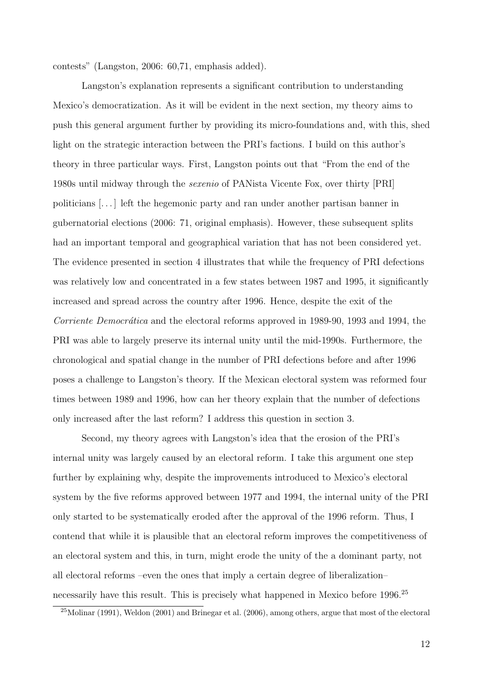contests" (Langston, 2006: 60,71, emphasis added).

Langston's explanation represents a significant contribution to understanding Mexico's democratization. As it will be evident in the next section, my theory aims to push this general argument further by providing its micro-foundations and, with this, shed light on the strategic interaction between the PRI's factions. I build on this author's theory in three particular ways. First, Langston points out that "From the end of the 1980s until midway through the sexenio of PANista Vicente Fox, over thirty [PRI] politicians [. . . ] left the hegemonic party and ran under another partisan banner in gubernatorial elections (2006: 71, original emphasis). However, these subsequent splits had an important temporal and geographical variation that has not been considered yet. The evidence presented in section 4 illustrates that while the frequency of PRI defections was relatively low and concentrated in a few states between 1987 and 1995, it significantly increased and spread across the country after 1996. Hence, despite the exit of the Corriente Democrática and the electoral reforms approved in 1989-90, 1993 and 1994, the PRI was able to largely preserve its internal unity until the mid-1990s. Furthermore, the chronological and spatial change in the number of PRI defections before and after 1996 poses a challenge to Langston's theory. If the Mexican electoral system was reformed four times between 1989 and 1996, how can her theory explain that the number of defections only increased after the last reform? I address this question in section 3.

Second, my theory agrees with Langston's idea that the erosion of the PRI's internal unity was largely caused by an electoral reform. I take this argument one step further by explaining why, despite the improvements introduced to Mexico's electoral system by the five reforms approved between 1977 and 1994, the internal unity of the PRI only started to be systematically eroded after the approval of the 1996 reform. Thus, I contend that while it is plausible that an electoral reform improves the competitiveness of an electoral system and this, in turn, might erode the unity of the a dominant party, not all electoral reforms –even the ones that imply a certain degree of liberalization– necessarily have this result. This is precisely what happened in Mexico before 1996.<sup>25</sup>

<sup>&</sup>lt;sup>25</sup>Molinar (1991), Weldon (2001) and Brinegar et al. (2006), among others, argue that most of the electoral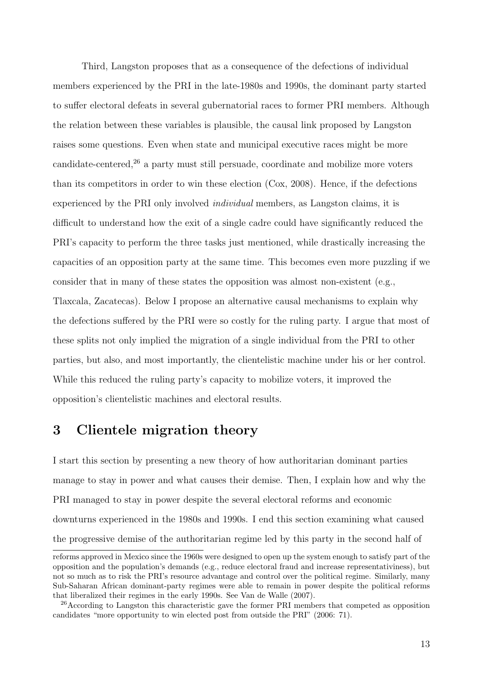Third, Langston proposes that as a consequence of the defections of individual members experienced by the PRI in the late-1980s and 1990s, the dominant party started to suffer electoral defeats in several gubernatorial races to former PRI members. Although the relation between these variables is plausible, the causal link proposed by Langston raises some questions. Even when state and municipal executive races might be more candidate-centered, $26$  a party must still persuade, coordinate and mobilize more voters than its competitors in order to win these election (Cox, 2008). Hence, if the defections experienced by the PRI only involved individual members, as Langston claims, it is difficult to understand how the exit of a single cadre could have significantly reduced the PRI's capacity to perform the three tasks just mentioned, while drastically increasing the capacities of an opposition party at the same time. This becomes even more puzzling if we consider that in many of these states the opposition was almost non-existent (e.g., Tlaxcala, Zacatecas). Below I propose an alternative causal mechanisms to explain why the defections suffered by the PRI were so costly for the ruling party. I argue that most of these splits not only implied the migration of a single individual from the PRI to other parties, but also, and most importantly, the clientelistic machine under his or her control. While this reduced the ruling party's capacity to mobilize voters, it improved the opposition's clientelistic machines and electoral results.

### 3 Clientele migration theory

I start this section by presenting a new theory of how authoritarian dominant parties manage to stay in power and what causes their demise. Then, I explain how and why the PRI managed to stay in power despite the several electoral reforms and economic downturns experienced in the 1980s and 1990s. I end this section examining what caused the progressive demise of the authoritarian regime led by this party in the second half of

reforms approved in Mexico since the 1960s were designed to open up the system enough to satisfy part of the opposition and the population's demands (e.g., reduce electoral fraud and increase representativiness), but not so much as to risk the PRI's resource advantage and control over the political regime. Similarly, many Sub-Saharan African dominant-party regimes were able to remain in power despite the political reforms that liberalized their regimes in the early 1990s. See Van de Walle (2007).

<sup>&</sup>lt;sup>26</sup>According to Langston this characteristic gave the former PRI members that competed as opposition candidates "more opportunity to win elected post from outside the PRI" (2006: 71).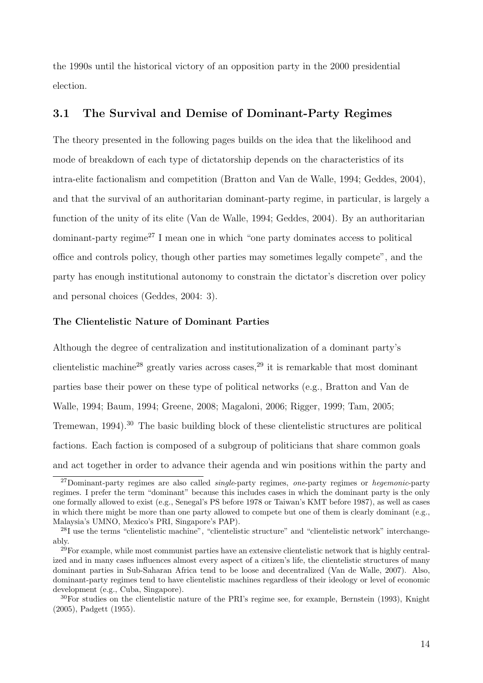the 1990s until the historical victory of an opposition party in the 2000 presidential election.

### 3.1 The Survival and Demise of Dominant-Party Regimes

The theory presented in the following pages builds on the idea that the likelihood and mode of breakdown of each type of dictatorship depends on the characteristics of its intra-elite factionalism and competition (Bratton and Van de Walle, 1994; Geddes, 2004), and that the survival of an authoritarian dominant-party regime, in particular, is largely a function of the unity of its elite (Van de Walle, 1994; Geddes, 2004). By an authoritarian dominant-party regime<sup>27</sup> I mean one in which "one party dominates access to political office and controls policy, though other parties may sometimes legally compete", and the party has enough institutional autonomy to constrain the dictator's discretion over policy and personal choices (Geddes, 2004: 3).

#### The Clientelistic Nature of Dominant Parties

Although the degree of centralization and institutionalization of a dominant party's clientelistic machine<sup>28</sup> greatly varies across cases,<sup>29</sup> it is remarkable that most dominant parties base their power on these type of political networks (e.g., Bratton and Van de Walle, 1994; Baum, 1994; Greene, 2008; Magaloni, 2006; Rigger, 1999; Tam, 2005; Tremewan, 1994).<sup>30</sup> The basic building block of these clientelistic structures are political factions. Each faction is composed of a subgroup of politicians that share common goals and act together in order to advance their agenda and win positions within the party and

 $^{27}$ Dominant-party regimes are also called *single*-party regimes, one-party regimes or *hegemonic*-party regimes. I prefer the term "dominant" because this includes cases in which the dominant party is the only one formally allowed to exist (e.g., Senegal's PS before 1978 or Taiwan's KMT before 1987), as well as cases in which there might be more than one party allowed to compete but one of them is clearly dominant (e.g., Malaysia's UMNO, Mexico's PRI, Singapore's PAP).

<sup>28</sup>I use the terms "clientelistic machine", "clientelistic structure" and "clientelistic network" interchangeably.

 $29$ For example, while most communist parties have an extensive clientelistic network that is highly centralized and in many cases influences almost every aspect of a citizen's life, the clientelistic structures of many dominant parties in Sub-Saharan Africa tend to be loose and decentralized (Van de Walle, 2007). Also, dominant-party regimes tend to have clientelistic machines regardless of their ideology or level of economic development (e.g., Cuba, Singapore).

<sup>30</sup>For studies on the clientelistic nature of the PRI's regime see, for example, Bernstein (1993), Knight (2005), Padgett (1955).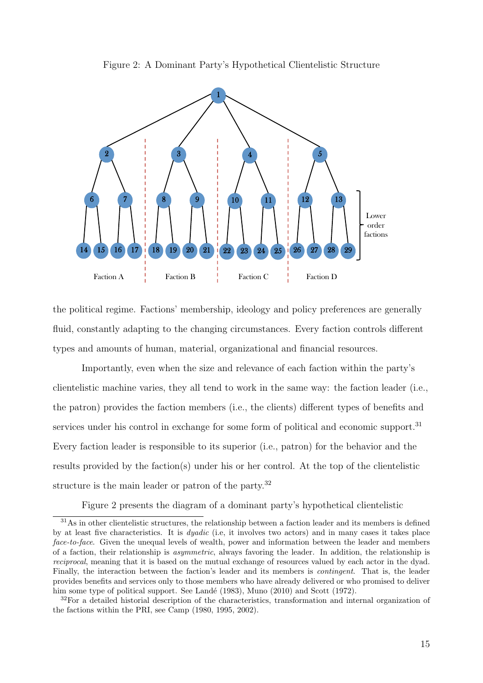



the political regime. Factions' membership, ideology and policy preferences are generally fluid, constantly adapting to the changing circumstances. Every faction controls different types and amounts of human, material, organizational and financial resources.

Importantly, even when the size and relevance of each faction within the party's clientelistic machine varies, they all tend to work in the same way: the faction leader (i.e., the patron) provides the faction members (i.e., the clients) different types of benefits and services under his control in exchange for some form of political and economic support.<sup>31</sup> Every faction leader is responsible to its superior (i.e., patron) for the behavior and the results provided by the faction(s) under his or her control. At the top of the clientelistic structure is the main leader or patron of the party.<sup>32</sup>

Figure 2 presents the diagram of a dominant party's hypothetical clientelistic

<sup>31</sup>As in other clientelistic structures, the relationship between a faction leader and its members is defined by at least five characteristics. It is dyadic (i.e, it involves two actors) and in many cases it takes place face-to-face. Given the unequal levels of wealth, power and information between the leader and members of a faction, their relationship is asymmetric, always favoring the leader. In addition, the relationship is reciprocal, meaning that it is based on the mutual exchange of resources valued by each actor in the dyad. Finally, the interaction between the faction's leader and its members is contingent. That is, the leader provides benefits and services only to those members who have already delivered or who promised to deliver him some type of political support. See Landé (1983), Muno  $(2010)$  and Scott (1972).

<sup>&</sup>lt;sup>32</sup>For a detailed historial description of the characteristics, transformation and internal organization of the factions within the PRI, see Camp (1980, 1995, 2002).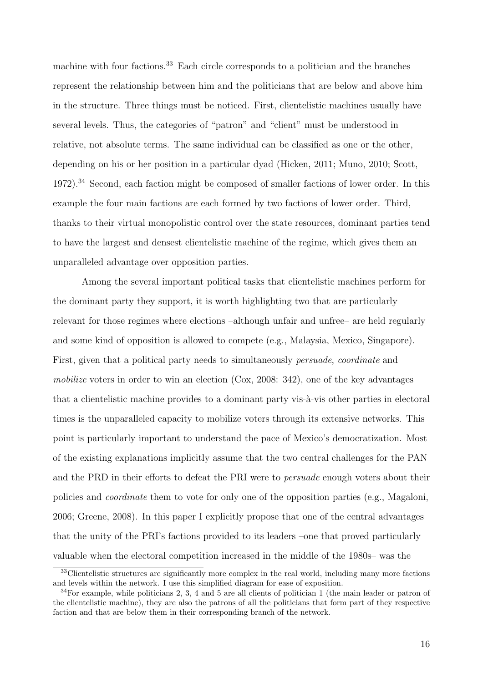machine with four factions.<sup>33</sup> Each circle corresponds to a politician and the branches represent the relationship between him and the politicians that are below and above him in the structure. Three things must be noticed. First, clientelistic machines usually have several levels. Thus, the categories of "patron" and "client" must be understood in relative, not absolute terms. The same individual can be classified as one or the other, depending on his or her position in a particular dyad (Hicken, 2011; Muno, 2010; Scott,  $1972$ ).<sup>34</sup> Second, each faction might be composed of smaller factions of lower order. In this example the four main factions are each formed by two factions of lower order. Third, thanks to their virtual monopolistic control over the state resources, dominant parties tend to have the largest and densest clientelistic machine of the regime, which gives them an unparalleled advantage over opposition parties.

Among the several important political tasks that clientelistic machines perform for the dominant party they support, it is worth highlighting two that are particularly relevant for those regimes where elections –although unfair and unfree– are held regularly and some kind of opposition is allowed to compete (e.g., Malaysia, Mexico, Singapore). First, given that a political party needs to simultaneously persuade, coordinate and mobilize voters in order to win an election  $(Cox, 2008: 342)$ , one of the key advantages that a clientelistic machine provides to a dominant party vis- $\lambda$ -vis other parties in electoral times is the unparalleled capacity to mobilize voters through its extensive networks. This point is particularly important to understand the pace of Mexico's democratization. Most of the existing explanations implicitly assume that the two central challenges for the PAN and the PRD in their efforts to defeat the PRI were to persuade enough voters about their policies and coordinate them to vote for only one of the opposition parties (e.g., Magaloni, 2006; Greene, 2008). In this paper I explicitly propose that one of the central advantages that the unity of the PRI's factions provided to its leaders –one that proved particularly valuable when the electoral competition increased in the middle of the 1980s– was the

 $33$ Clientelistic structures are significantly more complex in the real world, including many more factions and levels within the network. I use this simplified diagram for ease of exposition.

 $34$ For example, while politicians 2, 3, 4 and 5 are all clients of politician 1 (the main leader or patron of the clientelistic machine), they are also the patrons of all the politicians that form part of they respective faction and that are below them in their corresponding branch of the network.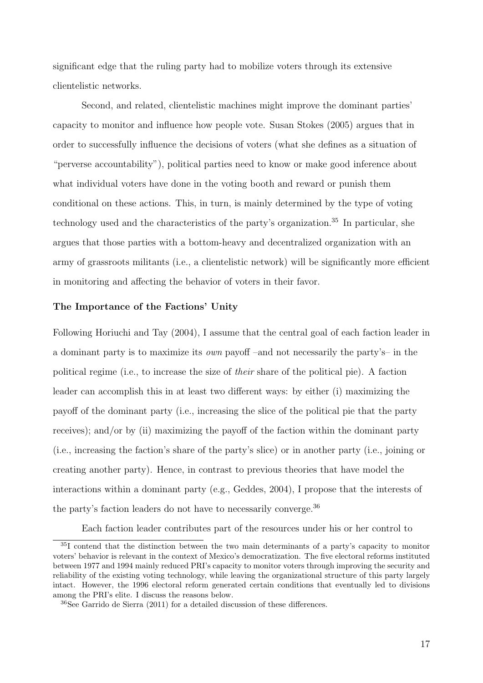significant edge that the ruling party had to mobilize voters through its extensive clientelistic networks.

Second, and related, clientelistic machines might improve the dominant parties' capacity to monitor and influence how people vote. Susan Stokes (2005) argues that in order to successfully influence the decisions of voters (what she defines as a situation of "perverse accountability"), political parties need to know or make good inference about what individual voters have done in the voting booth and reward or punish them conditional on these actions. This, in turn, is mainly determined by the type of voting technology used and the characteristics of the party's organization.<sup>35</sup> In particular, she argues that those parties with a bottom-heavy and decentralized organization with an army of grassroots militants (i.e., a clientelistic network) will be significantly more efficient in monitoring and affecting the behavior of voters in their favor.

#### The Importance of the Factions' Unity

Following Horiuchi and Tay (2004), I assume that the central goal of each faction leader in a dominant party is to maximize its own payoff –and not necessarily the party's– in the political regime (i.e., to increase the size of their share of the political pie). A faction leader can accomplish this in at least two different ways: by either (i) maximizing the payoff of the dominant party (i.e., increasing the slice of the political pie that the party receives); and/or by (ii) maximizing the payoff of the faction within the dominant party (i.e., increasing the faction's share of the party's slice) or in another party (i.e., joining or creating another party). Hence, in contrast to previous theories that have model the interactions within a dominant party (e.g., Geddes, 2004), I propose that the interests of the party's faction leaders do not have to necessarily converge.<sup>36</sup>

Each faction leader contributes part of the resources under his or her control to

<sup>35</sup>I contend that the distinction between the two main determinants of a party's capacity to monitor voters' behavior is relevant in the context of Mexico's democratization. The five electoral reforms instituted between 1977 and 1994 mainly reduced PRI's capacity to monitor voters through improving the security and reliability of the existing voting technology, while leaving the organizational structure of this party largely intact. However, the 1996 electoral reform generated certain conditions that eventually led to divisions among the PRI's elite. I discuss the reasons below.

<sup>36</sup>See Garrido de Sierra (2011) for a detailed discussion of these differences.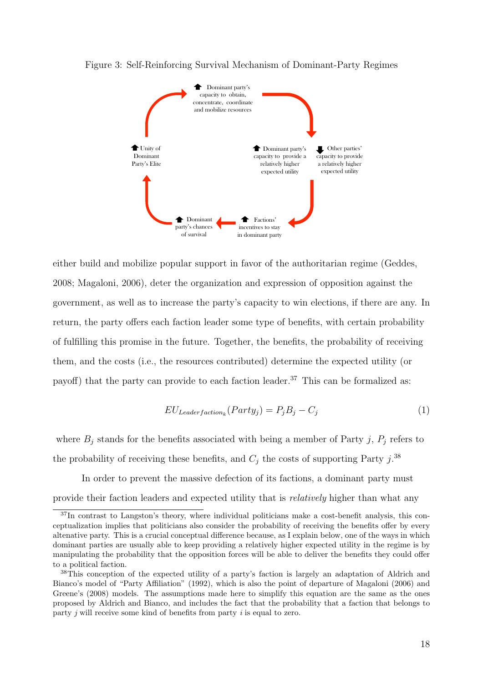

#### Figure 3: Self-Reinforcing Survival Mechanism of Dominant-Party Regimes

either build and mobilize popular support in favor of the authoritarian regime (Geddes, 2008; Magaloni, 2006), deter the organization and expression of opposition against the government, as well as to increase the party's capacity to win elections, if there are any. In return, the party offers each faction leader some type of benefits, with certain probability of fulfilling this promise in the future. Together, the benefits, the probability of receiving them, and the costs (i.e., the resources contributed) determine the expected utility (or payoff) that the party can provide to each faction leader.<sup>37</sup> This can be formalized as:

$$
EU_{Leaderfactor_k}(Party_j) = P_j B_j - C_j \tag{1}
$$

where  $B_j$  stands for the benefits associated with being a member of Party j,  $P_j$  refers to the probability of receiving these benefits, and  $C_j$  the costs of supporting Party j.<sup>38</sup>

In order to prevent the massive defection of its factions, a dominant party must provide their faction leaders and expected utility that is relatively higher than what any

<sup>37</sup>In contrast to Langston's theory, where individual politicians make a cost-benefit analysis, this conceptualization implies that politicians also consider the probability of receiving the benefits offer by every altenative party. This is a crucial conceptual difference because, as I explain below, one of the ways in which dominant parties are usually able to keep providing a relatively higher expected utility in the regime is by manipulating the probability that the opposition forces will be able to deliver the benefits they could offer to a political faction.

<sup>38</sup>This conception of the expected utility of a party's faction is largely an adaptation of Aldrich and Bianco's model of "Party Affiliation" (1992), which is also the point of departure of Magaloni (2006) and Greene's (2008) models. The assumptions made here to simplify this equation are the same as the ones proposed by Aldrich and Bianco, and includes the fact that the probability that a faction that belongs to party  $j$  will receive some kind of benefits from party  $i$  is equal to zero.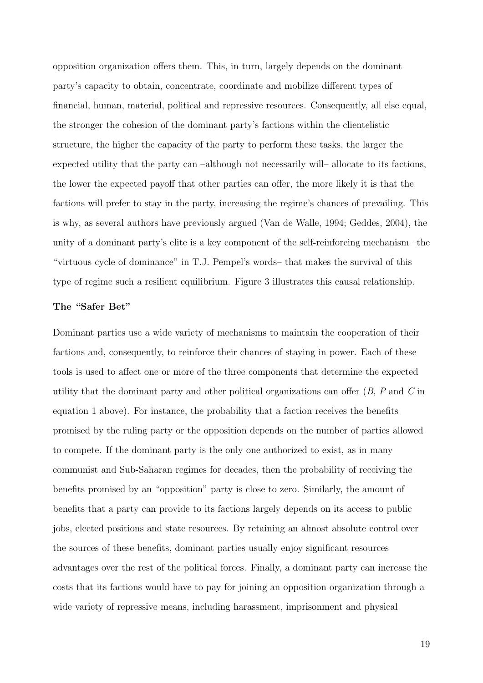opposition organization offers them. This, in turn, largely depends on the dominant party's capacity to obtain, concentrate, coordinate and mobilize different types of financial, human, material, political and repressive resources. Consequently, all else equal, the stronger the cohesion of the dominant party's factions within the clientelistic structure, the higher the capacity of the party to perform these tasks, the larger the expected utility that the party can –although not necessarily will– allocate to its factions, the lower the expected payoff that other parties can offer, the more likely it is that the factions will prefer to stay in the party, increasing the regime's chances of prevailing. This is why, as several authors have previously argued (Van de Walle, 1994; Geddes, 2004), the unity of a dominant party's elite is a key component of the self-reinforcing mechanism –the "virtuous cycle of dominance" in T.J. Pempel's words– that makes the survival of this type of regime such a resilient equilibrium. Figure 3 illustrates this causal relationship.

#### The "Safer Bet"

Dominant parties use a wide variety of mechanisms to maintain the cooperation of their factions and, consequently, to reinforce their chances of staying in power. Each of these tools is used to affect one or more of the three components that determine the expected utility that the dominant party and other political organizations can offer  $(B, P, P)$  and  $C$  in equation 1 above). For instance, the probability that a faction receives the benefits promised by the ruling party or the opposition depends on the number of parties allowed to compete. If the dominant party is the only one authorized to exist, as in many communist and Sub-Saharan regimes for decades, then the probability of receiving the benefits promised by an "opposition" party is close to zero. Similarly, the amount of benefits that a party can provide to its factions largely depends on its access to public jobs, elected positions and state resources. By retaining an almost absolute control over the sources of these benefits, dominant parties usually enjoy significant resources advantages over the rest of the political forces. Finally, a dominant party can increase the costs that its factions would have to pay for joining an opposition organization through a wide variety of repressive means, including harassment, imprisonment and physical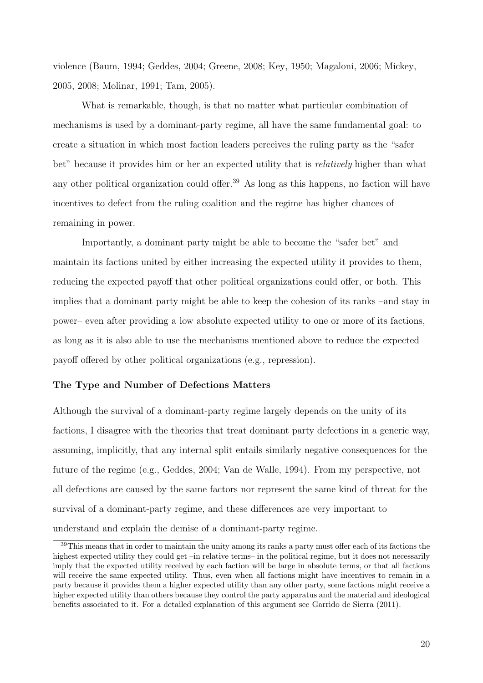violence (Baum, 1994; Geddes, 2004; Greene, 2008; Key, 1950; Magaloni, 2006; Mickey, 2005, 2008; Molinar, 1991; Tam, 2005).

What is remarkable, though, is that no matter what particular combination of mechanisms is used by a dominant-party regime, all have the same fundamental goal: to create a situation in which most faction leaders perceives the ruling party as the "safer bet" because it provides him or her an expected utility that is *relatively* higher than what any other political organization could offer.<sup>39</sup> As long as this happens, no faction will have incentives to defect from the ruling coalition and the regime has higher chances of remaining in power.

Importantly, a dominant party might be able to become the "safer bet" and maintain its factions united by either increasing the expected utility it provides to them, reducing the expected payoff that other political organizations could offer, or both. This implies that a dominant party might be able to keep the cohesion of its ranks –and stay in power– even after providing a low absolute expected utility to one or more of its factions, as long as it is also able to use the mechanisms mentioned above to reduce the expected payoff offered by other political organizations (e.g., repression).

#### The Type and Number of Defections Matters

Although the survival of a dominant-party regime largely depends on the unity of its factions, I disagree with the theories that treat dominant party defections in a generic way, assuming, implicitly, that any internal split entails similarly negative consequences for the future of the regime (e.g., Geddes, 2004; Van de Walle, 1994). From my perspective, not all defections are caused by the same factors nor represent the same kind of threat for the survival of a dominant-party regime, and these differences are very important to understand and explain the demise of a dominant-party regime.

<sup>39</sup>This means that in order to maintain the unity among its ranks a party must offer each of its factions the highest expected utility they could get –in relative terms– in the political regime, but it does not necessarily imply that the expected utility received by each faction will be large in absolute terms, or that all factions will receive the same expected utility. Thus, even when all factions might have incentives to remain in a party because it provides them a higher expected utility than any other party, some factions might receive a higher expected utility than others because they control the party apparatus and the material and ideological benefits associated to it. For a detailed explanation of this argument see Garrido de Sierra (2011).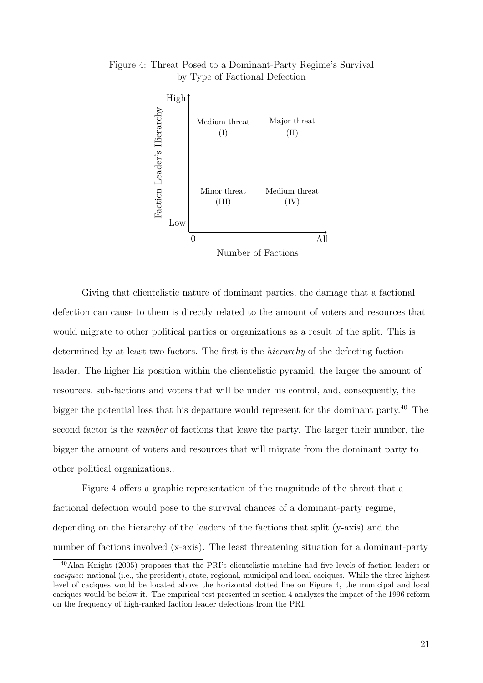

Figure 4: Threat Posed to a Dominant-Party Regime's Survival by Type of Factional Defection

Giving that clientelistic nature of dominant parties, the damage that a factional defection can cause to them is directly related to the amount of voters and resources that would migrate to other political parties or organizations as a result of the split. This is determined by at least two factors. The first is the hierarchy of the defecting faction leader. The higher his position within the clientelistic pyramid, the larger the amount of resources, sub-factions and voters that will be under his control, and, consequently, the bigger the potential loss that his departure would represent for the dominant party.<sup>40</sup> The second factor is the *number* of factions that leave the party. The larger their number, the bigger the amount of voters and resources that will migrate from the dominant party to other political organizations..

Figure 4 offers a graphic representation of the magnitude of the threat that a factional defection would pose to the survival chances of a dominant-party regime, depending on the hierarchy of the leaders of the factions that split (y-axis) and the number of factions involved (x-axis). The least threatening situation for a dominant-party

<sup>40</sup>Alan Knight (2005) proposes that the PRI's clientelistic machine had five levels of faction leaders or caciques: national (i.e., the president), state, regional, municipal and local caciques. While the three highest level of caciques would be located above the horizontal dotted line on Figure 4, the municipal and local caciques would be below it. The empirical test presented in section 4 analyzes the impact of the 1996 reform on the frequency of high-ranked faction leader defections from the PRI.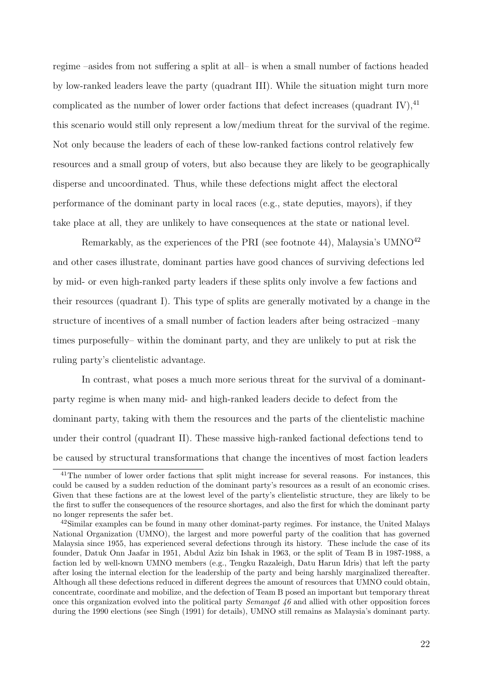regime –asides from not suffering a split at all– is when a small number of factions headed by low-ranked leaders leave the party (quadrant III). While the situation might turn more complicated as the number of lower order factions that defect increases (quadrant IV),  $^{41}$ this scenario would still only represent a low/medium threat for the survival of the regime. Not only because the leaders of each of these low-ranked factions control relatively few resources and a small group of voters, but also because they are likely to be geographically disperse and uncoordinated. Thus, while these defections might affect the electoral performance of the dominant party in local races (e.g., state deputies, mayors), if they take place at all, they are unlikely to have consequences at the state or national level.

Remarkably, as the experiences of the PRI (see footnote 44), Malaysia's UMNO $^{42}$ and other cases illustrate, dominant parties have good chances of surviving defections led by mid- or even high-ranked party leaders if these splits only involve a few factions and their resources (quadrant I). This type of splits are generally motivated by a change in the structure of incentives of a small number of faction leaders after being ostracized –many times purposefully– within the dominant party, and they are unlikely to put at risk the ruling party's clientelistic advantage.

In contrast, what poses a much more serious threat for the survival of a dominantparty regime is when many mid- and high-ranked leaders decide to defect from the dominant party, taking with them the resources and the parts of the clientelistic machine under their control (quadrant II). These massive high-ranked factional defections tend to be caused by structural transformations that change the incentives of most faction leaders

<sup>&</sup>lt;sup>41</sup>The number of lower order factions that split might increase for several reasons. For instances, this could be caused by a sudden reduction of the dominant party's resources as a result of an economic crises. Given that these factions are at the lowest level of the party's clientelistic structure, they are likely to be the first to suffer the consequences of the resource shortages, and also the first for which the dominant party no longer represents the safer bet.

<sup>&</sup>lt;sup>42</sup>Similar examples can be found in many other dominat-party regimes. For instance, the United Malays National Organization (UMNO), the largest and more powerful party of the coalition that has governed Malaysia since 1955, has experienced several defections through its history. These include the case of its founder, Datuk Onn Jaafar in 1951, Abdul Aziz bin Ishak in 1963, or the split of Team B in 1987-1988, a faction led by well-known UMNO members (e.g., Tengku Razaleigh, Datu Harun Idris) that left the party after losing the internal election for the leadership of the party and being harshly marginalized thereafter. Although all these defections reduced in different degrees the amount of resources that UMNO could obtain, concentrate, coordinate and mobilize, and the defection of Team B posed an important but temporary threat once this organization evolved into the political party *Semangat 46* and allied with other opposition forces during the 1990 elections (see Singh (1991) for details), UMNO still remains as Malaysia's dominant party.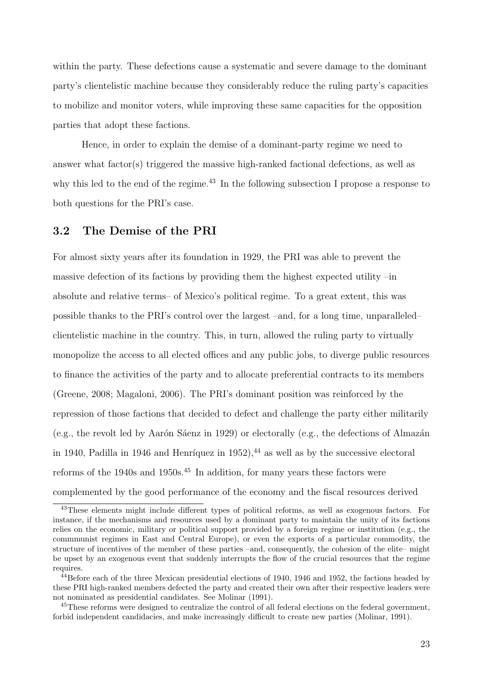within the party. These defections cause a systematic and severe damage to the dominant party's clientelistic machine because they considerably reduce the ruling party's capacities to mobilize and monitor voters, while improving these same capacities for the opposition parties that adopt these factions.

Hence, in order to explain the demise of a dominant-party regime we need to answer what factor(s) triggered the massive high-ranked factional defections, as well as why this led to the end of the regime.<sup>43</sup> In the following subsection I propose a response to both questions for the PRI's case.

#### 3.2 The Demise of the PRI

For almost sixty years after its foundation in 1929, the PRI was able to prevent the massive defection of its factions by providing them the highest expected utility –in absolute and relative terms– of Mexico's political regime. To a great extent, this was possible thanks to the PRI's control over the largest –and, for a long time, unparalleled– clientelistic machine in the country. This, in turn, allowed the ruling party to virtually monopolize the access to all elected offices and any public jobs, to diverge public resources to finance the activities of the party and to allocate preferential contracts to its members (Greene, 2008; Magaloni, 2006). The PRI's dominant position was reinforced by the repression of those factions that decided to defect and challenge the party either militarily (e.g., the revolt led by Aarón Sáenz in 1929) or electorally (e.g., the defections of Almazán in 1940, Padilla in 1946 and Henríquez in  $1952$ ),  $44$  as well as by the successive electoral reforms of the 1940s and 1950s.<sup>45</sup> In addition, for many years these factors were complemented by the good performance of the economy and the fiscal resources derived

<sup>&</sup>lt;sup>43</sup>These elements might include different types of political reforms, as well as exogenous factors. For instance, if the mechanisms and resources used by a dominant party to maintain the unity of its factions relies on the economic, military or political support provided by a foreign regime or institution (e.g., the commmunist regimes in East and Central Europe), or even the exports of a particular commodity, the structure of incentives of the member of these parties –and, consequently, the cohesion of the elite– might be upset by an exogenous event that suddenly interrupts the flow of the crucial resources that the regime requires.

<sup>44</sup>Before each of the three Mexican presidential elections of 1940, 1946 and 1952, the factions headed by these PRI high-ranked members defected the party and created their own after their respective leaders were not nominated as presidential candidates. See Molinar (1991).

<sup>&</sup>lt;sup>45</sup>These reforms were designed to centralize the control of all federal elections on the federal government, forbid independent candidacies, and make increasingly difficult to create new parties (Molinar, 1991).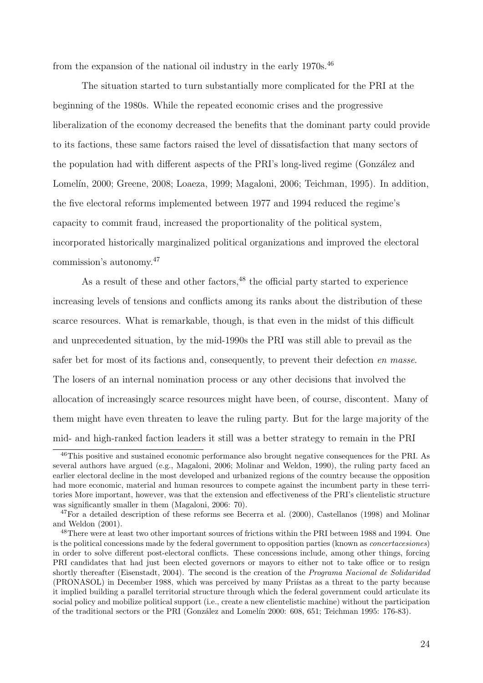from the expansion of the national oil industry in the early 1970s.<sup>46</sup>

The situation started to turn substantially more complicated for the PRI at the beginning of the 1980s. While the repeated economic crises and the progressive liberalization of the economy decreased the benefits that the dominant party could provide to its factions, these same factors raised the level of dissatisfaction that many sectors of the population had with different aspects of the PRI's long-lived regime (González and Lomelín, 2000; Greene, 2008; Loaeza, 1999; Magaloni, 2006; Teichman, 1995). In addition, the five electoral reforms implemented between 1977 and 1994 reduced the regime's capacity to commit fraud, increased the proportionality of the political system, incorporated historically marginalized political organizations and improved the electoral commission's autonomy.<sup>47</sup>

As a result of these and other factors,  $48$  the official party started to experience increasing levels of tensions and conflicts among its ranks about the distribution of these scarce resources. What is remarkable, though, is that even in the midst of this difficult and unprecedented situation, by the mid-1990s the PRI was still able to prevail as the safer bet for most of its factions and, consequently, to prevent their defection en masse. The losers of an internal nomination process or any other decisions that involved the allocation of increasingly scarce resources might have been, of course, discontent. Many of them might have even threaten to leave the ruling party. But for the large majority of the mid- and high-ranked faction leaders it still was a better strategy to remain in the PRI

<sup>46</sup>This positive and sustained economic performance also brought negative consequences for the PRI. As several authors have argued (e.g., Magaloni, 2006; Molinar and Weldon, 1990), the ruling party faced an earlier electoral decline in the most developed and urbanized regions of the country because the opposition had more economic, material and human resources to compete against the incumbent party in these territories More important, however, was that the extension and effectiveness of the PRI's clientelistic structure was significantly smaller in them (Magaloni, 2006: 70).

 $^{47}$ For a detailed description of these reforms see Becerra et al. (2000), Castellanos (1998) and Molinar and Weldon (2001).

<sup>48</sup>There were at least two other important sources of frictions within the PRI between 1988 and 1994. One is the political concessions made by the federal government to opposition parties (known as concertacesiones) in order to solve different post-electoral conflicts. These concessions include, among other things, forcing PRI candidates that had just been elected governors or mayors to either not to take office or to resign shortly thereafter (Eisenstadt, 2004). The second is the creation of the Programa Nacional de Solidaridad (PRONASOL) in December 1988, which was perceived by many Pristas as a threat to the party because it implied building a parallel territorial structure through which the federal government could articulate its social policy and mobilize political support (i.e., create a new clientelistic machine) without the participation of the traditional sectors or the PRI (González and Lomelín 2000: 608, 651; Teichman 1995: 176-83).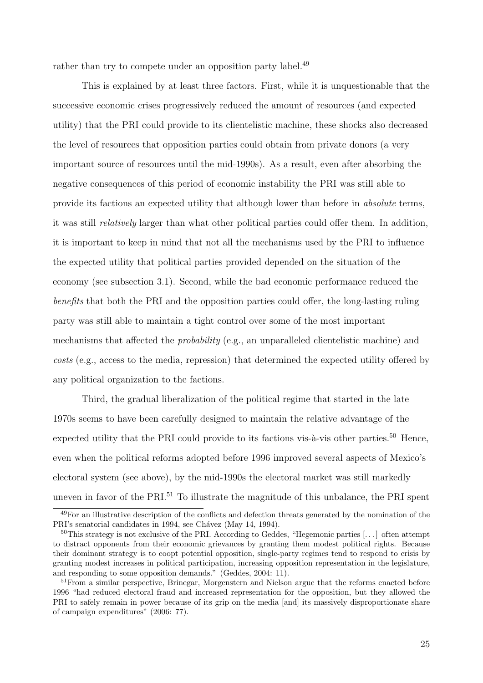rather than try to compete under an opposition party label.<sup>49</sup>

This is explained by at least three factors. First, while it is unquestionable that the successive economic crises progressively reduced the amount of resources (and expected utility) that the PRI could provide to its clientelistic machine, these shocks also decreased the level of resources that opposition parties could obtain from private donors (a very important source of resources until the mid-1990s). As a result, even after absorbing the negative consequences of this period of economic instability the PRI was still able to provide its factions an expected utility that although lower than before in absolute terms, it was still relatively larger than what other political parties could offer them. In addition, it is important to keep in mind that not all the mechanisms used by the PRI to influence the expected utility that political parties provided depended on the situation of the economy (see subsection 3.1). Second, while the bad economic performance reduced the benefits that both the PRI and the opposition parties could offer, the long-lasting ruling party was still able to maintain a tight control over some of the most important mechanisms that affected the probability (e.g., an unparalleled clientelistic machine) and costs (e.g., access to the media, repression) that determined the expected utility offered by any political organization to the factions.

Third, the gradual liberalization of the political regime that started in the late 1970s seems to have been carefully designed to maintain the relative advantage of the expected utility that the PRI could provide to its factions vis- $\alpha$ -vis other parties.<sup>50</sup> Hence, even when the political reforms adopted before 1996 improved several aspects of Mexico's electoral system (see above), by the mid-1990s the electoral market was still markedly uneven in favor of the PRI.<sup>51</sup> To illustrate the magnitude of this unbalance, the PRI spent

<sup>49</sup>For an illustrative description of the conflicts and defection threats generated by the nomination of the PRI's senatorial candidates in 1994, see Chávez (May 14, 1994).

<sup>50</sup>This strategy is not exclusive of the PRI. According to Geddes, "Hegemonic parties [. . . ] often attempt to distract opponents from their economic grievances by granting them modest political rights. Because their dominant strategy is to coopt potential opposition, single-party regimes tend to respond to crisis by granting modest increases in political participation, increasing opposition representation in the legislature, and responding to some opposition demands." (Geddes, 2004: 11).

<sup>&</sup>lt;sup>51</sup> From a similar perspective, Brinegar, Morgenstern and Nielson argue that the reforms enacted before 1996 "had reduced electoral fraud and increased representation for the opposition, but they allowed the PRI to safely remain in power because of its grip on the media [and] its massively disproportionate share of campaign expenditures" (2006: 77).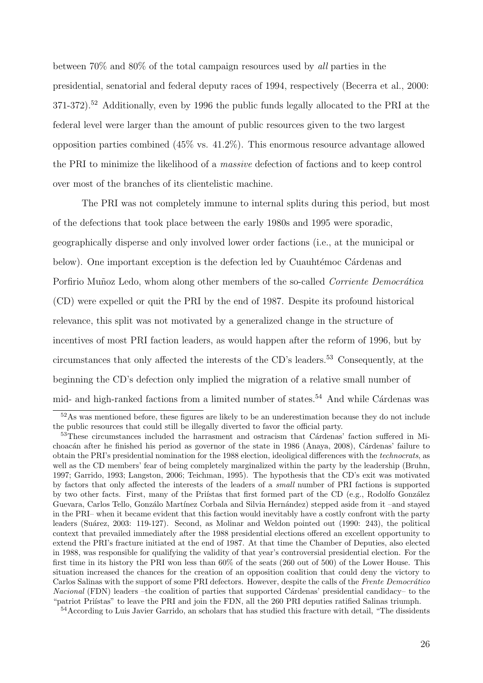between 70% and 80% of the total campaign resources used by all parties in the presidential, senatorial and federal deputy races of 1994, respectively (Becerra et al., 2000: 371-372).<sup>52</sup> Additionally, even by 1996 the public funds legally allocated to the PRI at the federal level were larger than the amount of public resources given to the two largest opposition parties combined  $(45\% \text{ vs. } 41.2\%)$ . This enormous resource advantage allowed the PRI to minimize the likelihood of a massive defection of factions and to keep control over most of the branches of its clientelistic machine.

The PRI was not completely immune to internal splits during this period, but most of the defections that took place between the early 1980s and 1995 were sporadic, geographically disperse and only involved lower order factions (i.e., at the municipal or below). One important exception is the defection led by Cuauhtémoc Cárdenas and Porfirio Muñoz Ledo, whom along other members of the so-called *Corriente Democrática* (CD) were expelled or quit the PRI by the end of 1987. Despite its profound historical relevance, this split was not motivated by a generalized change in the structure of incentives of most PRI faction leaders, as would happen after the reform of 1996, but by circumstances that only affected the interests of the CD's leaders.<sup>53</sup> Consequently, at the beginning the CD's defection only implied the migration of a relative small number of mid- and high-ranked factions from a limited number of states.<sup>54</sup> And while Cardenas was

 $52\text{As}$  was mentioned before, these figures are likely to be an underestimation because they do not include the public resources that could still be illegally diverted to favor the official party.

<sup>&</sup>lt;sup>53</sup>These circumstances included the harrasment and ostracism that Cárdenas' faction suffered in Michoacán after he finished his period as governor of the state in 1986 (Anaya, 2008), Cárdenas' failure to obtain the PRI's presidential nomination for the 1988 election, ideoligical differences with the technocrats, as well as the CD members' fear of being completely marginalized within the party by the leadership (Bruhn, 1997; Garrido, 1993; Langston, 2006; Teichman, 1995). The hypothesis that the CD's exit was motivated by factors that only affected the interests of the leaders of a small number of PRI factions is supported by two other facts. First, many of the Priístas that first formed part of the CD (e.g., Rodolfo González Guevara, Carlos Tello, Gonzálo Martínez Corbala and Silvia Hernández) stepped aside from it –and stayed in the PRI– when it became evident that this faction would inevitably have a costly confront with the party leaders (Su´arez, 2003: 119-127). Second, as Molinar and Weldon pointed out (1990: 243), the political context that prevailed immediately after the 1988 presidential elections offered an excellent opportunity to extend the PRI's fracture initiated at the end of 1987. At that time the Chamber of Deputies, also elected in 1988, was responsible for qualifying the validity of that year's controversial presidential election. For the first time in its history the PRI won less than 60% of the seats (260 out of 500) of the Lower House. This situation increased the chances for the creation of an opposition coalition that could deny the victory to Carlos Salinas with the support of some PRI defectors. However, despite the calls of the Frente Democrático Nacional (FDN) leaders –the coalition of parties that supported Cárdenas' presidential candidacy– to the "patriot Priístas" to leave the PRI and join the FDN, all the 260 PRI deputies ratified Salinas triumph.

<sup>&</sup>lt;sup>54</sup>According to Luis Javier Garrido, an scholars that has studied this fracture with detail, "The dissidents"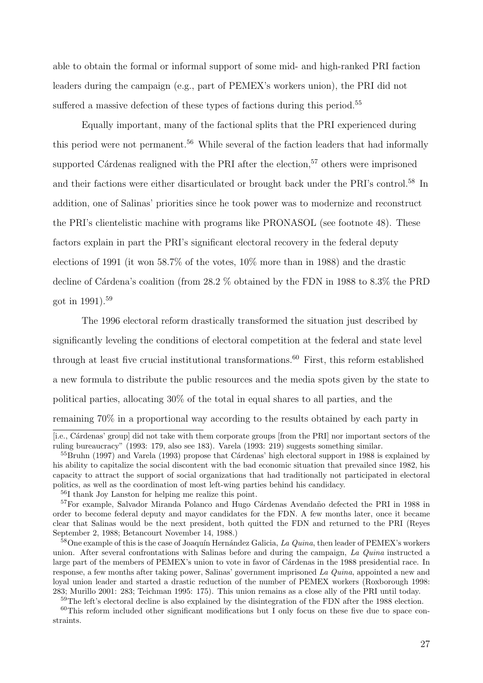able to obtain the formal or informal support of some mid- and high-ranked PRI faction leaders during the campaign (e.g., part of PEMEX's workers union), the PRI did not suffered a massive defection of these types of factions during this period.<sup>55</sup>

Equally important, many of the factional splits that the PRI experienced during this period were not permanent.<sup>56</sup> While several of the faction leaders that had informally supported Cárdenas realigned with the PRI after the election,<sup>57</sup> others were imprisoned and their factions were either disarticulated or brought back under the PRI's control.<sup>58</sup> In addition, one of Salinas' priorities since he took power was to modernize and reconstruct the PRI's clientelistic machine with programs like PRONASOL (see footnote 48). These factors explain in part the PRI's significant electoral recovery in the federal deputy elections of 1991 (it won 58.7% of the votes, 10% more than in 1988) and the drastic decline of Cárdena's coalition (from  $28.2\%$  obtained by the FDN in 1988 to  $8.3\%$  the PRD got in  $1991$ .<sup>59</sup>

The 1996 electoral reform drastically transformed the situation just described by significantly leveling the conditions of electoral competition at the federal and state level through at least five crucial institutional transformations.<sup>60</sup> First, this reform established a new formula to distribute the public resources and the media spots given by the state to political parties, allocating 30% of the total in equal shares to all parties, and the remaining 70% in a proportional way according to the results obtained by each party in

<sup>56</sup>I thank Joy Lanston for helping me realize this point.

<sup>59</sup>The left's electoral decline is also explained by the disintegration of the FDN after the 1988 election.

<sup>[</sup>i.e., Cárdenas' group] did not take with them corporate groups [from the PRI] nor important sectors of the ruling bureaucracy" (1993: 179, also see 183). Varela (1993: 219) suggests something similar.

 $55$ Bruhn (1997) and Varela (1993) propose that Cárdenas' high electoral support in 1988 is explained by his ability to capitalize the social discontent with the bad economic situation that prevailed since 1982, his capacity to attract the support of social organizations that had traditionally not participated in electoral politics, as well as the coordination of most left-wing parties behind his candidacy.

<sup>&</sup>lt;sup>57</sup>For example, Salvador Miranda Polanco and Hugo Cárdenas Avendaño defected the PRI in 1988 in order to become federal deputy and mayor candidates for the FDN. A few months later, once it became clear that Salinas would be the next president, both quitted the FDN and returned to the PRI (Reyes September 2, 1988; Betancourt November 14, 1988.)

 $58$ One example of this is the case of Joaquín Hernández Galicia, La Quina, then leader of PEMEX's workers union. After several confrontations with Salinas before and during the campaign, La Quina instructed a large part of the members of PEMEX's union to vote in favor of Cárdenas in the 1988 presidential race. In response, a few months after taking power, Salinas' government imprisoned La Quina, appointed a new and loyal union leader and started a drastic reduction of the number of PEMEX workers (Roxborough 1998: 283; Murillo 2001: 283; Teichman 1995: 175). This union remains as a close ally of the PRI until today.

<sup>60</sup>This reform included other significant modifications but I only focus on these five due to space constraints.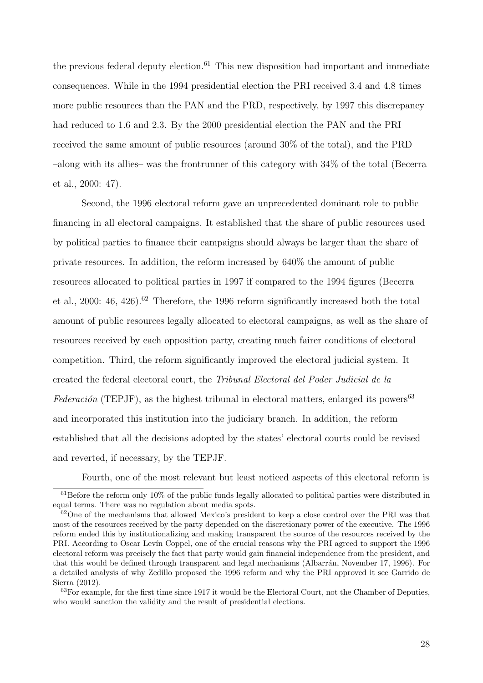the previous federal deputy election.<sup>61</sup> This new disposition had important and immediate consequences. While in the 1994 presidential election the PRI received 3.4 and 4.8 times more public resources than the PAN and the PRD, respectively, by 1997 this discrepancy had reduced to 1.6 and 2.3. By the 2000 presidential election the PAN and the PRI received the same amount of public resources (around 30% of the total), and the PRD –along with its allies– was the frontrunner of this category with 34% of the total (Becerra et al., 2000: 47).

Second, the 1996 electoral reform gave an unprecedented dominant role to public financing in all electoral campaigns. It established that the share of public resources used by political parties to finance their campaigns should always be larger than the share of private resources. In addition, the reform increased by 640% the amount of public resources allocated to political parties in 1997 if compared to the 1994 figures (Becerra et al., 2000: 46, 426).<sup>62</sup> Therefore, the 1996 reform significantly increased both the total amount of public resources legally allocated to electoral campaigns, as well as the share of resources received by each opposition party, creating much fairer conditions of electoral competition. Third, the reform significantly improved the electoral judicial system. It created the federal electoral court, the Tribunal Electoral del Poder Judicial de la Federación (TEPJF), as the highest tribunal in electoral matters, enlarged its powers<sup>63</sup> and incorporated this institution into the judiciary branch. In addition, the reform established that all the decisions adopted by the states' electoral courts could be revised and reverted, if necessary, by the TEPJF.

Fourth, one of the most relevant but least noticed aspects of this electoral reform is

 $61$ Before the reform only 10% of the public funds legally allocated to political parties were distributed in equal terms. There was no regulation about media spots.

 $62$ One of the mechanisms that allowed Mexico's president to keep a close control over the PRI was that most of the resources received by the party depended on the discretionary power of the executive. The 1996 reform ended this by institutionalizing and making transparent the source of the resources received by the PRI. According to Oscar Levín Coppel, one of the crucial reasons why the PRI agreed to support the 1996 electoral reform was precisely the fact that party would gain financial independence from the president, and that this would be defined through transparent and legal mechanisms (Albarrán, November 17, 1996). For a detailed analysis of why Zedillo proposed the 1996 reform and why the PRI approved it see Garrido de Sierra (2012).

<sup>&</sup>lt;sup>63</sup>For example, for the first time since 1917 it would be the Electoral Court, not the Chamber of Deputies, who would sanction the validity and the result of presidential elections.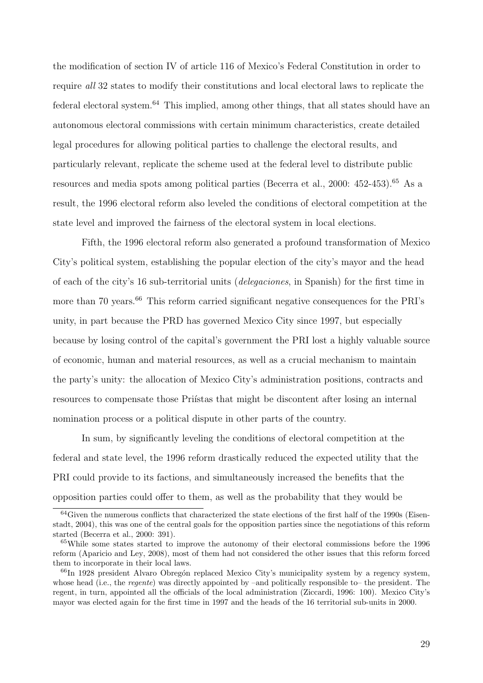the modification of section IV of article 116 of Mexico's Federal Constitution in order to require all 32 states to modify their constitutions and local electoral laws to replicate the federal electoral system.<sup>64</sup> This implied, among other things, that all states should have an autonomous electoral commissions with certain minimum characteristics, create detailed legal procedures for allowing political parties to challenge the electoral results, and particularly relevant, replicate the scheme used at the federal level to distribute public resources and media spots among political parties (Becerra et al., 2000: 452-453).<sup>65</sup> As a result, the 1996 electoral reform also leveled the conditions of electoral competition at the state level and improved the fairness of the electoral system in local elections.

Fifth, the 1996 electoral reform also generated a profound transformation of Mexico City's political system, establishing the popular election of the city's mayor and the head of each of the city's 16 sub-territorial units (delegaciones, in Spanish) for the first time in more than 70 years.<sup>66</sup> This reform carried significant negative consequences for the PRI's unity, in part because the PRD has governed Mexico City since 1997, but especially because by losing control of the capital's government the PRI lost a highly valuable source of economic, human and material resources, as well as a crucial mechanism to maintain the party's unity: the allocation of Mexico City's administration positions, contracts and resources to compensate those Pristas that might be discontent after losing an internal nomination process or a political dispute in other parts of the country.

In sum, by significantly leveling the conditions of electoral competition at the federal and state level, the 1996 reform drastically reduced the expected utility that the PRI could provide to its factions, and simultaneously increased the benefits that the opposition parties could offer to them, as well as the probability that they would be

 $64$ Given the numerous conflicts that characterized the state elections of the first half of the 1990s (Eisenstadt, 2004), this was one of the central goals for the opposition parties since the negotiations of this reform started (Becerra et al., 2000: 391).

<sup>65</sup>While some states started to improve the autonomy of their electoral commissions before the 1996 reform (Aparicio and Ley, 2008), most of them had not considered the other issues that this reform forced them to incorporate in their local laws.

 $66$ In 1928 president Alvaro Obregón replaced Mexico City's municipality system by a regency system, whose head (i.e., the *regente*) was directly appointed by –and politically responsible to– the president. The regent, in turn, appointed all the officials of the local administration (Ziccardi, 1996: 100). Mexico City's mayor was elected again for the first time in 1997 and the heads of the 16 territorial sub-units in 2000.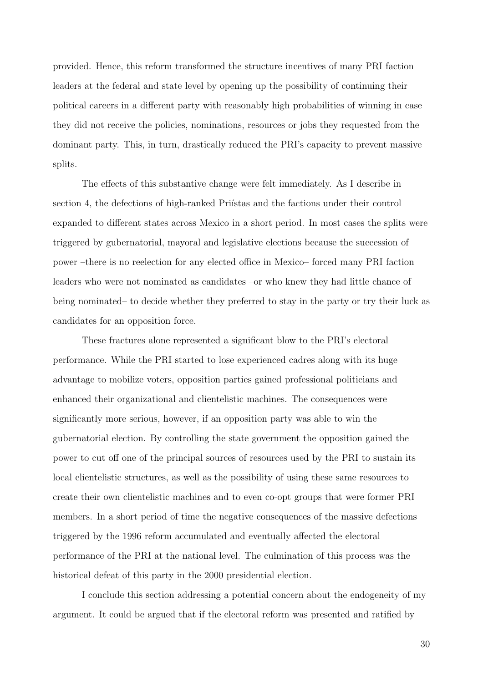provided. Hence, this reform transformed the structure incentives of many PRI faction leaders at the federal and state level by opening up the possibility of continuing their political careers in a different party with reasonably high probabilities of winning in case they did not receive the policies, nominations, resources or jobs they requested from the dominant party. This, in turn, drastically reduced the PRI's capacity to prevent massive splits.

The effects of this substantive change were felt immediately. As I describe in section 4, the defections of high-ranked Priístas and the factions under their control expanded to different states across Mexico in a short period. In most cases the splits were triggered by gubernatorial, mayoral and legislative elections because the succession of power –there is no reelection for any elected office in Mexico– forced many PRI faction leaders who were not nominated as candidates –or who knew they had little chance of being nominated– to decide whether they preferred to stay in the party or try their luck as candidates for an opposition force.

These fractures alone represented a significant blow to the PRI's electoral performance. While the PRI started to lose experienced cadres along with its huge advantage to mobilize voters, opposition parties gained professional politicians and enhanced their organizational and clientelistic machines. The consequences were significantly more serious, however, if an opposition party was able to win the gubernatorial election. By controlling the state government the opposition gained the power to cut off one of the principal sources of resources used by the PRI to sustain its local clientelistic structures, as well as the possibility of using these same resources to create their own clientelistic machines and to even co-opt groups that were former PRI members. In a short period of time the negative consequences of the massive defections triggered by the 1996 reform accumulated and eventually affected the electoral performance of the PRI at the national level. The culmination of this process was the historical defeat of this party in the 2000 presidential election.

I conclude this section addressing a potential concern about the endogeneity of my argument. It could be argued that if the electoral reform was presented and ratified by

30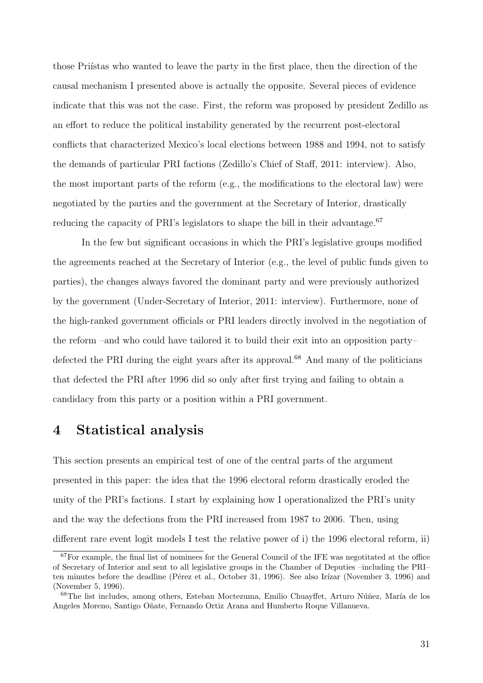those Priístas who wanted to leave the party in the first place, then the direction of the causal mechanism I presented above is actually the opposite. Several pieces of evidence indicate that this was not the case. First, the reform was proposed by president Zedillo as an effort to reduce the political instability generated by the recurrent post-electoral conflicts that characterized Mexico's local elections between 1988 and 1994, not to satisfy the demands of particular PRI factions (Zedillo's Chief of Staff, 2011: interview). Also, the most important parts of the reform (e.g., the modifications to the electoral law) were negotiated by the parties and the government at the Secretary of Interior, drastically reducing the capacity of PRI's legislators to shape the bill in their advantage.<sup>67</sup>

In the few but significant occasions in which the PRI's legislative groups modified the agreements reached at the Secretary of Interior (e.g., the level of public funds given to parties), the changes always favored the dominant party and were previously authorized by the government (Under-Secretary of Interior, 2011: interview). Furthermore, none of the high-ranked government officials or PRI leaders directly involved in the negotiation of the reform –and who could have tailored it to build their exit into an opposition party– defected the PRI during the eight years after its approval.<sup>68</sup> And many of the politicians that defected the PRI after 1996 did so only after first trying and failing to obtain a candidacy from this party or a position within a PRI government.

### 4 Statistical analysis

This section presents an empirical test of one of the central parts of the argument presented in this paper: the idea that the 1996 electoral reform drastically eroded the unity of the PRI's factions. I start by explaining how I operationalized the PRI's unity and the way the defections from the PRI increased from 1987 to 2006. Then, using different rare event logit models I test the relative power of i) the 1996 electoral reform, ii)

 $67$  For example, the final list of nominees for the General Council of the IFE was negotitated at the office of Secretary of Interior and sent to all legislative groups in the Chamber of Deputies –including the PRI– ten minutes before the deadline (Pérez et al., October 31, 1996). See also Irízar (November 3, 1996) and (November 5, 1996).

<sup>&</sup>lt;sup>68</sup>The list includes, among others, Esteban Moctezuma, Emilio Chuayffet, Arturo Núñez, María de los Angeles Moreno, Santigo Oñate, Fernando Ortiz Arana and Humberto Roque Villanueva.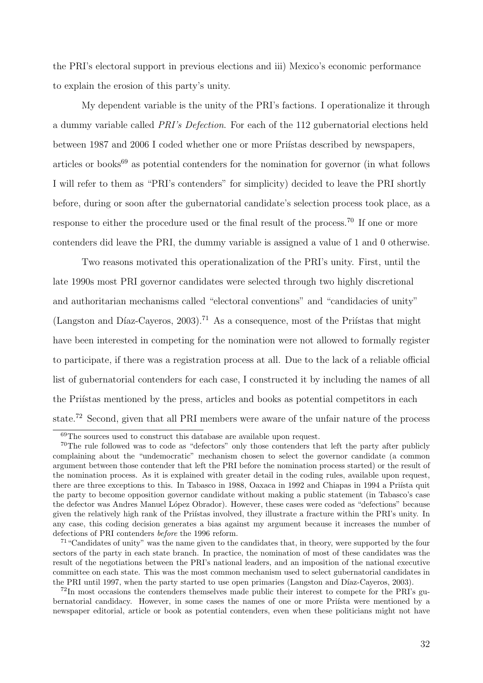the PRI's electoral support in previous elections and iii) Mexico's economic performance to explain the erosion of this party's unity.

My dependent variable is the unity of the PRI's factions. I operationalize it through a dummy variable called PRI's Defection. For each of the 112 gubernatorial elections held between 1987 and 2006 I coded whether one or more Pristas described by newspapers, articles or books<sup>69</sup> as potential contenders for the nomination for governor (in what follows I will refer to them as "PRI's contenders" for simplicity) decided to leave the PRI shortly before, during or soon after the gubernatorial candidate's selection process took place, as a response to either the procedure used or the final result of the process.<sup>70</sup> If one or more contenders did leave the PRI, the dummy variable is assigned a value of 1 and 0 otherwise.

Two reasons motivated this operationalization of the PRI's unity. First, until the late 1990s most PRI governor candidates were selected through two highly discretional and authoritarian mechanisms called "electoral conventions" and "candidacies of unity" (Langston and Díaz-Cayeros, 2003).<sup>71</sup> As a consequence, most of the Priístas that might have been interested in competing for the nomination were not allowed to formally register to participate, if there was a registration process at all. Due to the lack of a reliable official list of gubernatorial contenders for each case, I constructed it by including the names of all the Priístas mentioned by the press, articles and books as potential competitors in each state.<sup>72</sup> Second, given that all PRI members were aware of the unfair nature of the process

 $\frac{69}{10}$  for sources used to construct this database are available upon request.

<sup>&</sup>lt;sup>70</sup>The rule followed was to code as "defectors" only those contenders that left the party after publicly complaining about the "undemocratic" mechanism chosen to select the governor candidate (a common argument between those contender that left the PRI before the nomination process started) or the result of the nomination process. As it is explained with greater detail in the coding rules, available upon request, there are three exceptions to this. In Tabasco in 1988, Oaxaca in 1992 and Chiapas in 1994 a Priísta quit the party to become opposition governor candidate without making a public statement (in Tabasco's case the defector was Andres Manuel López Obrador). However, these cases were coded as "defections" because given the relatively high rank of the Priístas involved, they illustrate a fracture within the PRI's unity. In any case, this coding decision generates a bias against my argument because it increases the number of defections of PRI contenders before the 1996 reform.

 $71$  "Candidates of unity" was the name given to the candidates that, in theory, were supported by the four sectors of the party in each state branch. In practice, the nomination of most of these candidates was the result of the negotiations between the PRI's national leaders, and an imposition of the national executive committee on each state. This was the most common mechanism used to select gubernatorial candidates in the PRI until 1997, when the party started to use open primaries (Langston and Díaz-Caveros, 2003).

<sup>72</sup>In most occasions the contenders themselves made public their interest to compete for the PRI's gubernatorial candidacy. However, in some cases the names of one or more Prista were mentioned by a newspaper editorial, article or book as potential contenders, even when these politicians might not have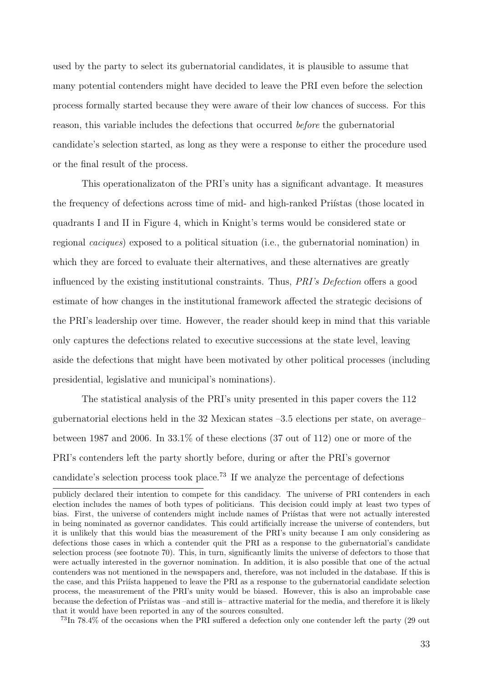used by the party to select its gubernatorial candidates, it is plausible to assume that many potential contenders might have decided to leave the PRI even before the selection process formally started because they were aware of their low chances of success. For this reason, this variable includes the defections that occurred before the gubernatorial candidate's selection started, as long as they were a response to either the procedure used or the final result of the process.

This operationalizaton of the PRI's unity has a significant advantage. It measures the frequency of defections across time of mid- and high-ranked Pristas (those located in quadrants I and II in Figure 4, which in Knight's terms would be considered state or regional caciques) exposed to a political situation (i.e., the gubernatorial nomination) in which they are forced to evaluate their alternatives, and these alternatives are greatly influenced by the existing institutional constraints. Thus, PRI's Defection offers a good estimate of how changes in the institutional framework affected the strategic decisions of the PRI's leadership over time. However, the reader should keep in mind that this variable only captures the defections related to executive successions at the state level, leaving aside the defections that might have been motivated by other political processes (including presidential, legislative and municipal's nominations).

The statistical analysis of the PRI's unity presented in this paper covers the 112 gubernatorial elections held in the 32 Mexican states –3.5 elections per state, on average– between 1987 and 2006. In 33.1% of these elections (37 out of 112) one or more of the PRI's contenders left the party shortly before, during or after the PRI's governor candidate's selection process took place.<sup>73</sup> If we analyze the percentage of defections

<sup>73</sup>In 78.4% of the occasions when the PRI suffered a defection only one contender left the party (29 out

publicly declared their intention to compete for this candidacy. The universe of PRI contenders in each election includes the names of both types of politicians. This decision could imply at least two types of bias. First, the universe of contenders might include names of Prifstas that were not actually interested in being nominated as governor candidates. This could artificially increase the universe of contenders, but it is unlikely that this would bias the measurement of the PRI's unity because I am only considering as defections those cases in which a contender quit the PRI as a response to the gubernatorial's candidate selection process (see footnote 70). This, in turn, significantly limits the universe of defectors to those that were actually interested in the governor nomination. In addition, it is also possible that one of the actual contenders was not mentioned in the newspapers and, therefore, was not included in the database. If this is the case, and this Priísta happened to leave the PRI as a response to the gubernatorial candidate selection process, the measurement of the PRI's unity would be biased. However, this is also an improbable case because the defection of Priístas was –and still is– attractive material for the media, and therefore it is likely that it would have been reported in any of the sources consulted.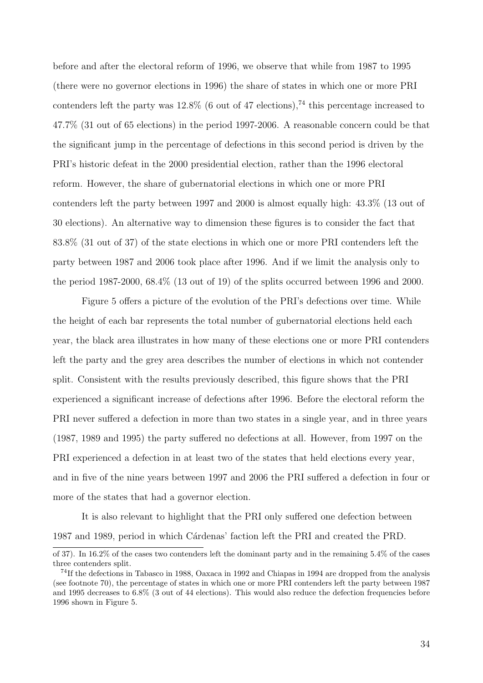before and after the electoral reform of 1996, we observe that while from 1987 to 1995 (there were no governor elections in 1996) the share of states in which one or more PRI contenders left the party was  $12.8\%$  (6 out of 47 elections),<sup>74</sup> this percentage increased to 47.7% (31 out of 65 elections) in the period 1997-2006. A reasonable concern could be that the significant jump in the percentage of defections in this second period is driven by the PRI's historic defeat in the 2000 presidential election, rather than the 1996 electoral reform. However, the share of gubernatorial elections in which one or more PRI contenders left the party between 1997 and 2000 is almost equally high: 43.3% (13 out of 30 elections). An alternative way to dimension these figures is to consider the fact that 83.8% (31 out of 37) of the state elections in which one or more PRI contenders left the party between 1987 and 2006 took place after 1996. And if we limit the analysis only to the period 1987-2000, 68.4% (13 out of 19) of the splits occurred between 1996 and 2000.

Figure 5 offers a picture of the evolution of the PRI's defections over time. While the height of each bar represents the total number of gubernatorial elections held each year, the black area illustrates in how many of these elections one or more PRI contenders left the party and the grey area describes the number of elections in which not contender split. Consistent with the results previously described, this figure shows that the PRI experienced a significant increase of defections after 1996. Before the electoral reform the PRI never suffered a defection in more than two states in a single year, and in three years (1987, 1989 and 1995) the party suffered no defections at all. However, from 1997 on the PRI experienced a defection in at least two of the states that held elections every year, and in five of the nine years between 1997 and 2006 the PRI suffered a defection in four or more of the states that had a governor election.

It is also relevant to highlight that the PRI only suffered one defection between 1987 and 1989, period in which Cárdenas' faction left the PRI and created the PRD.

of 37). In 16.2% of the cases two contenders left the dominant party and in the remaining 5.4% of the cases three contenders split.

<sup>74</sup>If the defections in Tabasco in 1988, Oaxaca in 1992 and Chiapas in 1994 are dropped from the analysis (see footnote 70), the percentage of states in which one or more PRI contenders left the party between 1987 and 1995 decreases to 6.8% (3 out of 44 elections). This would also reduce the defection frequencies before 1996 shown in Figure 5.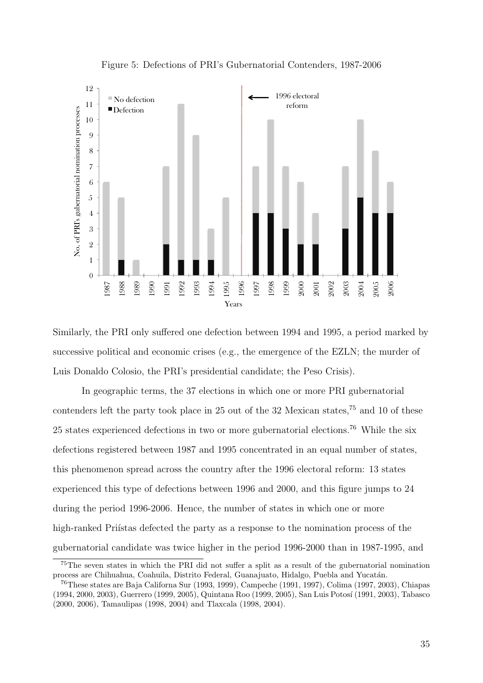

Figure 5: Defections of PRI's Gubernatorial Contenders, 1987-2006

Similarly, the PRI only suffered one defection between 1994 and 1995, a period marked by successive political and economic crises (e.g., the emergence of the EZLN; the murder of Luis Donaldo Colosio, the PRI's presidential candidate; the Peso Crisis).

In geographic terms, the 37 elections in which one or more PRI gubernatorial contenders left the party took place in 25 out of the 32 Mexican states,<sup>75</sup> and 10 of these 25 states experienced defections in two or more gubernatorial elections.<sup>76</sup> While the six defections registered between 1987 and 1995 concentrated in an equal number of states, this phenomenon spread across the country after the 1996 electoral reform: 13 states experienced this type of defections between 1996 and 2000, and this figure jumps to 24 during the period 1996-2006. Hence, the number of states in which one or more high-ranked Princistas defected the party as a response to the nomination process of the gubernatorial candidate was twice higher in the period 1996-2000 than in 1987-1995, and

The seven states in which the PRI did not suffer a split as a result of the gubernatorial nomination process are Chihuahua, Coahuila, Distrito Federal, Guanajuato, Hidalgo, Puebla and Yucatán.

These states are Baja Californa Sur (1993, 1999), Campeche (1991, 1997), Colima (1997, 2003), Chiapas (1994, 2000, 2003), Guerrero (1999, 2005), Quintana Roo (1999, 2005), San Luis Potos´ı (1991, 2003), Tabasco (2000, 2006), Tamaulipas (1998, 2004) and Tlaxcala (1998, 2004).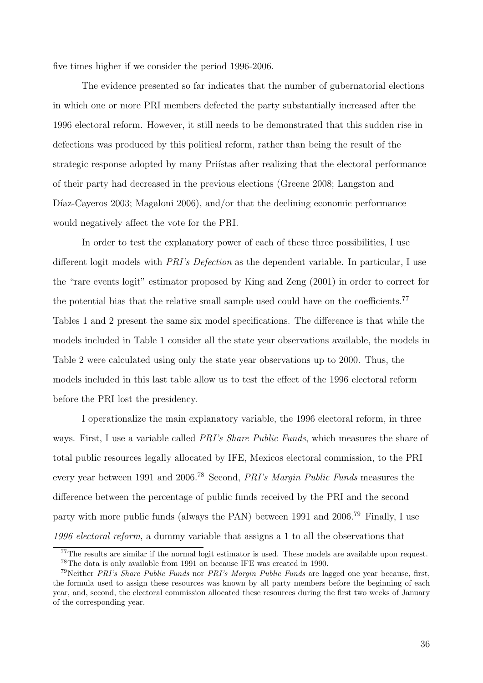five times higher if we consider the period 1996-2006.

The evidence presented so far indicates that the number of gubernatorial elections in which one or more PRI members defected the party substantially increased after the 1996 electoral reform. However, it still needs to be demonstrated that this sudden rise in defections was produced by this political reform, rather than being the result of the strategic response adopted by many Priístas after realizing that the electoral performance of their party had decreased in the previous elections (Greene 2008; Langston and Díaz-Cayeros 2003; Magaloni 2006), and/or that the declining economic performance would negatively affect the vote for the PRI.

In order to test the explanatory power of each of these three possibilities, I use different logit models with PRI's Defection as the dependent variable. In particular, I use the "rare events logit" estimator proposed by King and Zeng (2001) in order to correct for the potential bias that the relative small sample used could have on the coefficients.<sup>77</sup> Tables 1 and 2 present the same six model specifications. The difference is that while the models included in Table 1 consider all the state year observations available, the models in Table 2 were calculated using only the state year observations up to 2000. Thus, the models included in this last table allow us to test the effect of the 1996 electoral reform before the PRI lost the presidency.

I operationalize the main explanatory variable, the 1996 electoral reform, in three ways. First, I use a variable called *PRI's Share Public Funds*, which measures the share of total public resources legally allocated by IFE, Mexicos electoral commission, to the PRI every year between 1991 and 2006.<sup>78</sup> Second, *PRI's Margin Public Funds* measures the difference between the percentage of public funds received by the PRI and the second party with more public funds (always the PAN) between 1991 and 2006.<sup>79</sup> Finally, I use 1996 electoral reform, a dummy variable that assigns a 1 to all the observations that

<sup>77</sup>The results are similar if the normal logit estimator is used. These models are available upon request. <sup>78</sup>The data is only available from 1991 on because IFE was created in 1990.

<sup>79</sup>Neither PRI's Share Public Funds nor PRI's Margin Public Funds are lagged one year because, first, the formula used to assign these resources was known by all party members before the beginning of each year, and, second, the electoral commission allocated these resources during the first two weeks of January of the corresponding year.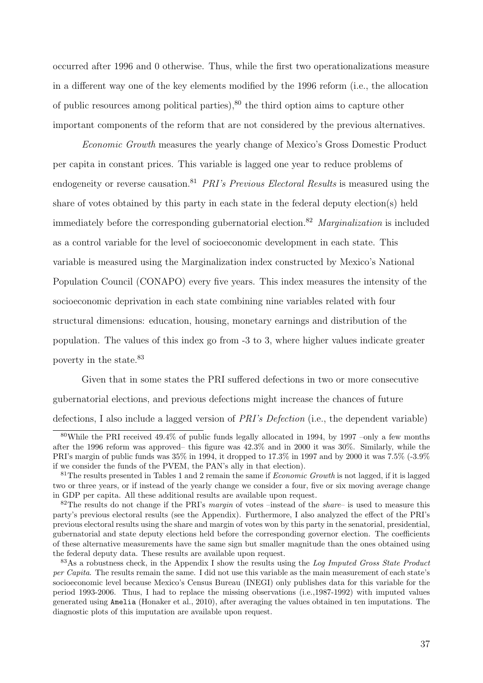occurred after 1996 and 0 otherwise. Thus, while the first two operationalizations measure in a different way one of the key elements modified by the 1996 reform (i.e., the allocation of public resources among political parties), $80$  the third option aims to capture other important components of the reform that are not considered by the previous alternatives.

Economic Growth measures the yearly change of Mexico's Gross Domestic Product per capita in constant prices. This variable is lagged one year to reduce problems of endogeneity or reverse causation.<sup>81</sup> *PRI's Previous Electoral Results* is measured using the share of votes obtained by this party in each state in the federal deputy election(s) held immediately before the corresponding gubernatorial election.<sup>82</sup> Marginalization is included as a control variable for the level of socioeconomic development in each state. This variable is measured using the Marginalization index constructed by Mexico's National Population Council (CONAPO) every five years. This index measures the intensity of the socioeconomic deprivation in each state combining nine variables related with four structural dimensions: education, housing, monetary earnings and distribution of the population. The values of this index go from -3 to 3, where higher values indicate greater poverty in the state.<sup>83</sup>

Given that in some states the PRI suffered defections in two or more consecutive gubernatorial elections, and previous defections might increase the chances of future defections, I also include a lagged version of PRI's Defection (i.e., the dependent variable)

<sup>80</sup>While the PRI received 49.4% of public funds legally allocated in 1994, by 1997 –only a few months after the 1996 reform was approved– this figure was 42.3% and in 2000 it was 30%. Similarly, while the PRI's margin of public funds was 35% in 1994, it dropped to 17.3% in 1997 and by 2000 it was 7.5% (-3.9% if we consider the funds of the PVEM, the PAN's ally in that election).

<sup>&</sup>lt;sup>81</sup>The results presented in Tables 1 and 2 remain the same if *Economic Growth* is not lagged, if it is lagged two or three years, or if instead of the yearly change we consider a four, five or six moving average change in GDP per capita. All these additional results are available upon request.

 $82$ The results do not change if the PRI's *margin* of votes –instead of the *share*– is used to measure this party's previous electoral results (see the Appendix). Furthermore, I also analyzed the effect of the PRI's previous electoral results using the share and margin of votes won by this party in the senatorial, presidential, gubernatorial and state deputy elections held before the corresponding governor election. The coefficients of these alternative measurements have the same sign but smaller magnitude than the ones obtained using the federal deputy data. These results are available upon request.

 $83\text{As}$  a robustness check, in the Appendix I show the results using the Log Imputed Gross State Product per Capita. The results remain the same. I did not use this variable as the main measurement of each state's socioeconomic level because Mexico's Census Bureau (INEGI) only publishes data for this variable for the period 1993-2006. Thus, I had to replace the missing observations (i.e.,1987-1992) with imputed values generated using Amelia (Honaker et al., 2010), after averaging the values obtained in ten imputations. The diagnostic plots of this imputation are available upon request.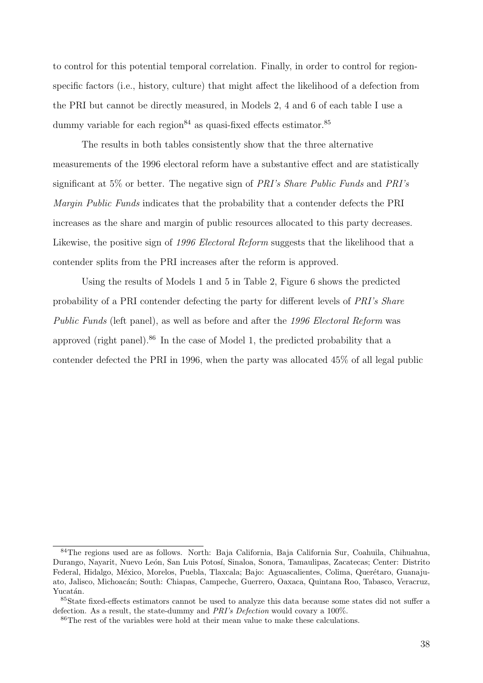to control for this potential temporal correlation. Finally, in order to control for regionspecific factors (i.e., history, culture) that might affect the likelihood of a defection from the PRI but cannot be directly measured, in Models 2, 4 and 6 of each table I use a dummy variable for each region<sup>84</sup> as quasi-fixed effects estimator.<sup>85</sup>

The results in both tables consistently show that the three alternative measurements of the 1996 electoral reform have a substantive effect and are statistically significant at 5% or better. The negative sign of PRI's Share Public Funds and PRI's Margin Public Funds indicates that the probability that a contender defects the PRI increases as the share and margin of public resources allocated to this party decreases. Likewise, the positive sign of 1996 Electoral Reform suggests that the likelihood that a contender splits from the PRI increases after the reform is approved.

Using the results of Models 1 and 5 in Table 2, Figure 6 shows the predicted probability of a PRI contender defecting the party for different levels of PRI's Share Public Funds (left panel), as well as before and after the 1996 Electoral Reform was approved (right panel).<sup>86</sup> In the case of Model 1, the predicted probability that a contender defected the PRI in 1996, when the party was allocated 45% of all legal public

<sup>84</sup>The regions used are as follows. North: Baja California, Baja California Sur, Coahuila, Chihuahua, Durango, Nayarit, Nuevo León, San Luis Potosí, Sinaloa, Sonora, Tamaulipas, Zacatecas; Center: Distrito Federal, Hidalgo, México, Morelos, Puebla, Tlaxcala; Bajo: Aguascalientes, Colima, Querétaro, Guanajuato, Jalisco, Michoacán; South: Chiapas, Campeche, Guerrero, Oaxaca, Quintana Roo, Tabasco, Veracruz, Yucatán.

<sup>&</sup>lt;sup>85</sup>State fixed-effects estimators cannot be used to analyze this data because some states did not suffer a defection. As a result, the state-dummy and *PRI's Defection* would covary a 100%.

<sup>86</sup>The rest of the variables were hold at their mean value to make these calculations.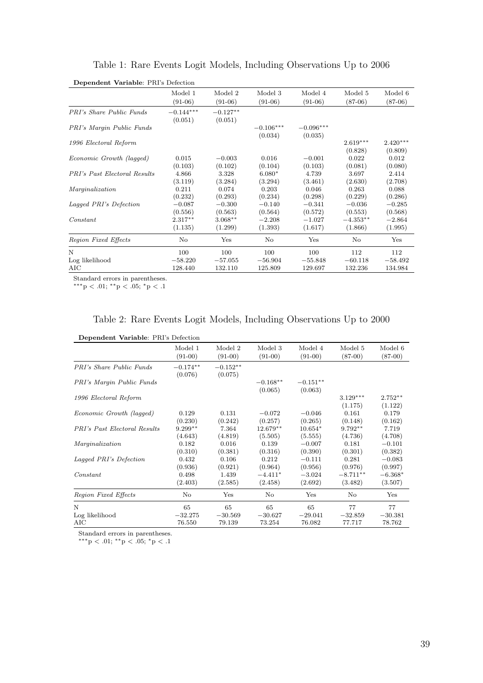| Dependent Variable: PRI's Defection |             |            |             |             |            |            |
|-------------------------------------|-------------|------------|-------------|-------------|------------|------------|
|                                     | Model 1     | Model 2    | Model 3     | Model 4     | Model 5    | Model 6    |
|                                     | $(91-06)$   | $(91-06)$  | $(91-06)$   | $(91-06)$   | $(87-06)$  | $(87-06)$  |
| <b>PRI's Share Public Funds</b>     | $-0.144***$ | $-0.127**$ |             |             |            |            |
|                                     | (0.051)     | (0.051)    |             |             |            |            |
| PRI's Margin Public Funds           |             |            | $-0.106***$ | $-0.096***$ |            |            |
|                                     |             |            | (0.034)     | (0.035)     |            |            |
| 1996 Electoral Reform               |             |            |             |             | $2.619***$ | $2.420***$ |
|                                     |             |            |             |             | (0.828)    | (0.809)    |
| Economic Growth (lagged)            | 0.015       | $-0.003$   | 0.016       | $-0.001$    | 0.022      | 0.012      |
|                                     | (0.103)     | (0.102)    | (0.104)     | (0.103)     | (0.081)    | (0.080)    |
| <b>PRI's Past Electoral Results</b> | 4.866       | 3.328      | $6.080*$    | 4.739       | 3.697      | 2.414      |
|                                     | (3.119)     | (3.284)    | (3.294)     | (3.461)     | (2.630)    | (2.708)    |
| Marginalization                     | 0.211       | 0.074      | 0.203       | 0.046       | 0.263      | 0.088      |
|                                     | (0.232)     | (0.293)    | (0.234)     | (0.298)     | (0.229)    | (0.286)    |
| Lagged PRI's Defection              | $-0.087$    | $-0.300$   | $-0.140$    | $-0.341$    | $-0.036$   | $-0.285$   |
|                                     | (0.556)     | (0.563)    | (0.564)     | (0.572)     | (0.553)    | (0.568)    |
| Constant                            | $2.317**$   | $3.068**$  | $-2.208$    | $-1.027$    | $-4.353**$ | $-2.864$   |
|                                     | (1.135)     | (1.299)    | (1.393)     | (1.617)     | (1.866)    | (1.995)    |
| Region Fixed Effects                | No          | Yes        | No          | Yes         | No         | Yes        |
| N                                   | 100         | 100        | 100         | 100         | 112        | 112        |
| Log likelihood                      | $-58.220$   | $-57.055$  | $-56.904$   | $-55.848$   | $-60.118$  | $-58.492$  |
| AIC                                 | 128.440     | 132.110    | 125.809     | 129.697     | 132.236    | 134.984    |

Table 1: Rare Events Logit Models, Including Observations Up to 2006

Standard errors in parentheses.

 $***p < .01; **p < .05; *p < .1$ 

### Table 2: Rare Events Logit Models, Including Observations Up to 2000

Dependent Variable: PRI's Defection

|                                     | Model 1               | Model 2               | Model 3               | Model 4               | Model 5               | Model 6              |
|-------------------------------------|-----------------------|-----------------------|-----------------------|-----------------------|-----------------------|----------------------|
|                                     | $(91-00)$             | $(91-00)$             | $(91-00)$             | $(91-00)$             | $(87-00)$             | $(87-00)$            |
| <b>PRI's Share Public Funds</b>     | $-0.174**$<br>(0.076) | $-0.152**$<br>(0.075) |                       |                       |                       |                      |
| PRI's Margin Public Funds           |                       |                       | $-0.168**$<br>(0.065) | $-0.151**$<br>(0.063) |                       |                      |
| 1996 Electoral Reform               |                       |                       |                       |                       | $3.129***$<br>(1.175) | $2.752**$<br>(1.122) |
| Economic Growth (lagged)            | 0.129                 | 0.131                 | $-0.072$              | $-0.046$              | 0.161                 | 0.179                |
|                                     | (0.230)               | (0.242)               | (0.257)               | (0.265)               | (0.148)               | (0.162)              |
| <b>PRI's Past Electoral Results</b> | $9.299**$             | 7.364                 | $12.679**$            | $10.654*$             | $9.792**$             | 7.719                |
|                                     | (4.643)               | (4.819)               | (5.505)               | (5.555)               | (4.736)               | (4.708)              |
| Marginalization                     | 0.182                 | 0.016                 | 0.139                 | $-0.007$              | 0.181                 | $-0.101$             |
|                                     | (0.310)               | (0.381)               | (0.316)               | (0.390)               | (0.301)               | (0.382)              |
| Lagged PRI's Defection              | 0.432                 | 0.106                 | 0.212                 | $-0.111$              | 0.281                 | $-0.083$             |
|                                     | (0.936)               | (0.921)               | (0.964)               | (0.956)               | (0.976)               | (0.997)              |
| Constant                            | 0.498                 | 1.439                 | $-4.411*$             | $-3.024$              | $-8.711**$            | $-6.368*$            |
|                                     | (2.403)               | (2.585)               | (2.458)               | (2.692)               | (3.482)               | (3.507)              |
| Region Fixed Effects                | No                    | Yes                   | No                    | Yes                   | No                    | Yes                  |
| N                                   | 65                    | 65                    | 65                    | 65                    | 77                    | 77                   |
| Log likelihood                      | $-32.275$             | $-30.569$             | $-30.627$             | $-29.041$             | $-32.859$             | $-30.381$            |
| AIC                                 | 76.550                | 79.139                | 73.254                | 76.082                | 77.717                | 78.762               |

Standard errors in parentheses.

∗∗∗p < .01; ∗∗p < .05; <sup>∗</sup>p < .1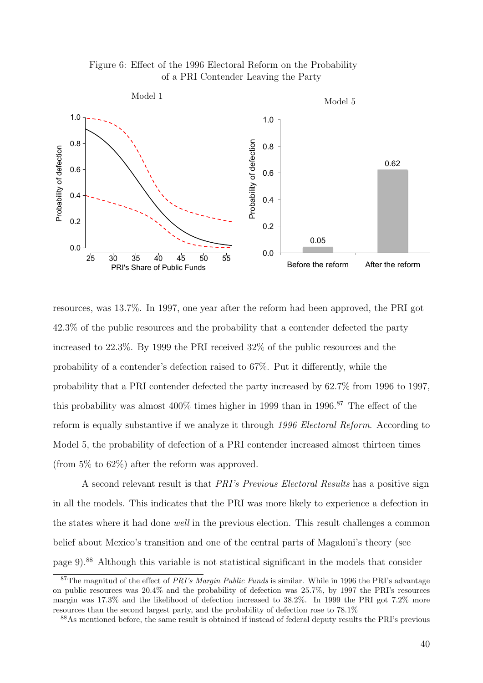



resources, was 13.7%. In 1997, one year after the reform had been approved, the PRI got 42.3% of the public resources and the probability that a contender defected the party increased to 22.3%. By 1999 the PRI received 32% of the public resources and the probability of a contender's defection raised to 67%. Put it differently, while the probability that a PRI contender defected the party increased by 62.7% from 1996 to 1997, this probability was almost  $400\%$  times higher in 1999 than in 1996.<sup>87</sup> The effect of the reform is equally substantive if we analyze it through 1996 Electoral Reform. According to Model 5, the probability of defection of a PRI contender increased almost thirteen times (from 5% to 62%) after the reform was approved.

A second relevant result is that PRI's Previous Electoral Results has a positive sign in all the models. This indicates that the PRI was more likely to experience a defection in the states where it had done *well* in the previous election. This result challenges a common belief about Mexico's transition and one of the central parts of Magaloni's theory (see page 9).<sup>88</sup> Although this variable is not statistical significant in the models that consider

<sup>&</sup>lt;sup>87</sup>The magnitud of the effect of *PRI's Margin Public Funds* is similar. While in 1996 the PRI's advantage on public resources was 20.4% and the probability of defection was 25.7%, by 1997 the PRI's resources margin was 17.3% and the likelihood of defection increased to 38.2%. In 1999 the PRI got 7.2% more resources than the second largest party, and the probability of defection rose to 78.1%

<sup>88</sup>As mentioned before, the same result is obtained if instead of federal deputy results the PRI's previous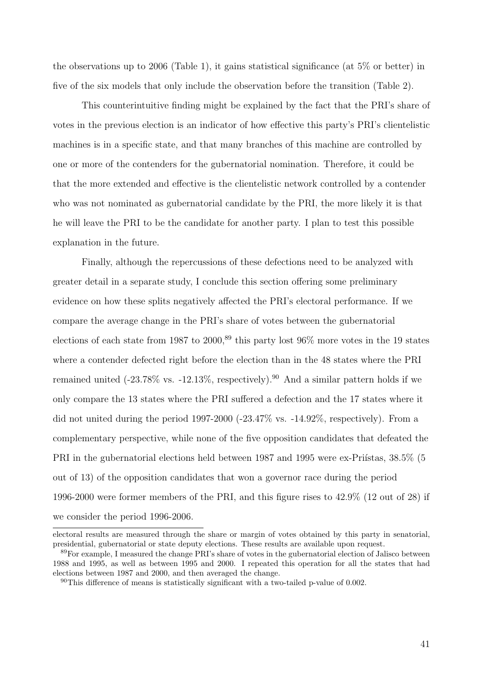the observations up to 2006 (Table 1), it gains statistical significance (at 5% or better) in five of the six models that only include the observation before the transition (Table 2).

This counterintuitive finding might be explained by the fact that the PRI's share of votes in the previous election is an indicator of how effective this party's PRI's clientelistic machines is in a specific state, and that many branches of this machine are controlled by one or more of the contenders for the gubernatorial nomination. Therefore, it could be that the more extended and effective is the clientelistic network controlled by a contender who was not nominated as gubernatorial candidate by the PRI, the more likely it is that he will leave the PRI to be the candidate for another party. I plan to test this possible explanation in the future.

Finally, although the repercussions of these defections need to be analyzed with greater detail in a separate study, I conclude this section offering some preliminary evidence on how these splits negatively affected the PRI's electoral performance. If we compare the average change in the PRI's share of votes between the gubernatorial elections of each state from 1987 to 2000,<sup>89</sup> this party lost 96% more votes in the 19 states where a contender defected right before the election than in the 48 states where the PRI remained united  $(-23.78\% \text{ vs. } -12.13\%, \text{ respectively})$ .<sup>90</sup> And a similar pattern holds if we only compare the 13 states where the PRI suffered a defection and the 17 states where it did not united during the period 1997-2000 (-23.47% vs. -14.92%, respectively). From a complementary perspective, while none of the five opposition candidates that defeated the PRI in the gubernatorial elections held between 1987 and 1995 were ex-Prifistas,  $38.5\%$  (5) out of 13) of the opposition candidates that won a governor race during the period 1996-2000 were former members of the PRI, and this figure rises to 42.9% (12 out of 28) if we consider the period 1996-2006.

electoral results are measured through the share or margin of votes obtained by this party in senatorial, presidential, gubernatorial or state deputy elections. These results are available upon request.

<sup>&</sup>lt;sup>89</sup>For example, I measured the change PRI's share of votes in the gubernatorial election of Jalisco between 1988 and 1995, as well as between 1995 and 2000. I repeated this operation for all the states that had elections between 1987 and 2000, and then averaged the change.

<sup>90</sup>This difference of means is statistically significant with a two-tailed p-value of 0.002.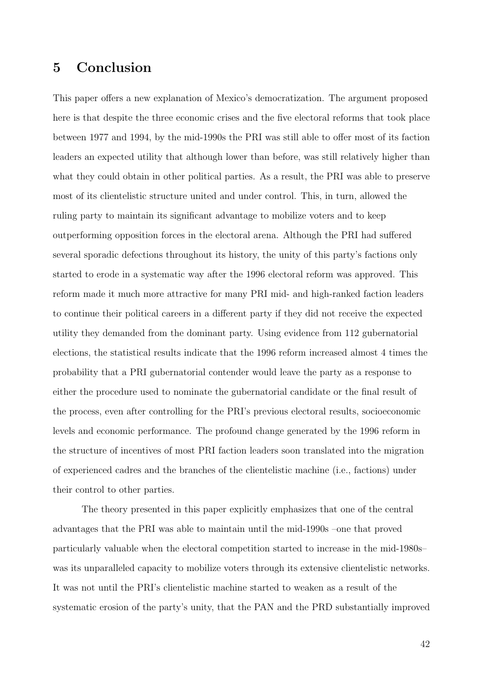## 5 Conclusion

This paper offers a new explanation of Mexico's democratization. The argument proposed here is that despite the three economic crises and the five electoral reforms that took place between 1977 and 1994, by the mid-1990s the PRI was still able to offer most of its faction leaders an expected utility that although lower than before, was still relatively higher than what they could obtain in other political parties. As a result, the PRI was able to preserve most of its clientelistic structure united and under control. This, in turn, allowed the ruling party to maintain its significant advantage to mobilize voters and to keep outperforming opposition forces in the electoral arena. Although the PRI had suffered several sporadic defections throughout its history, the unity of this party's factions only started to erode in a systematic way after the 1996 electoral reform was approved. This reform made it much more attractive for many PRI mid- and high-ranked faction leaders to continue their political careers in a different party if they did not receive the expected utility they demanded from the dominant party. Using evidence from 112 gubernatorial elections, the statistical results indicate that the 1996 reform increased almost 4 times the probability that a PRI gubernatorial contender would leave the party as a response to either the procedure used to nominate the gubernatorial candidate or the final result of the process, even after controlling for the PRI's previous electoral results, socioeconomic levels and economic performance. The profound change generated by the 1996 reform in the structure of incentives of most PRI faction leaders soon translated into the migration of experienced cadres and the branches of the clientelistic machine (i.e., factions) under their control to other parties.

The theory presented in this paper explicitly emphasizes that one of the central advantages that the PRI was able to maintain until the mid-1990s –one that proved particularly valuable when the electoral competition started to increase in the mid-1980s– was its unparalleled capacity to mobilize voters through its extensive clientelistic networks. It was not until the PRI's clientelistic machine started to weaken as a result of the systematic erosion of the party's unity, that the PAN and the PRD substantially improved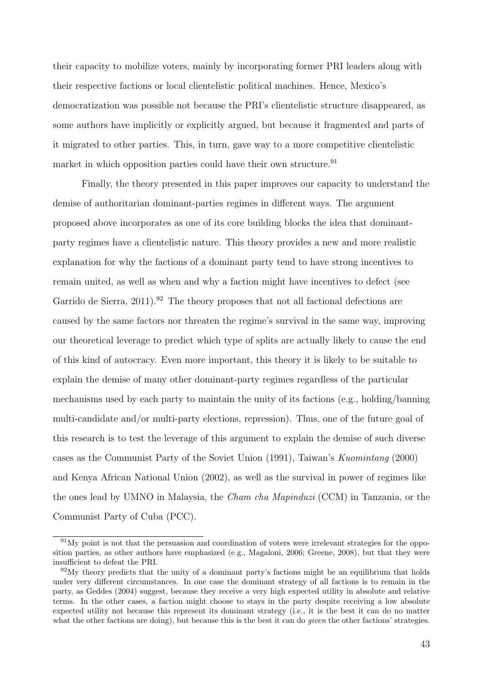their capacity to mobilize voters, mainly by incorporating former PRI leaders along with their respective factions or local clientelistic political machines. Hence, Mexico's democratization was possible not because the PRI's clientelistic structure disappeared, as some authors have implicitly or explicitly argued, but because it fragmented and parts of it migrated to other parties. This, in turn, gave way to a more competitive clientelistic market in which opposition parties could have their own structure.<sup>91</sup>

Finally, the theory presented in this paper improves our capacity to understand the demise of authoritarian dominant-parties regimes in different ways. The argument proposed above incorporates as one of its core building blocks the idea that dominantparty regimes have a clientelistic nature. This theory provides a new and more realistic explanation for why the factions of a dominant party tend to have strong incentives to remain united, as well as when and why a faction might have incentives to defect (see Garrido de Sierra,  $2011$ .<sup>92</sup> The theory proposes that not all factional defections are caused by the same factors nor threaten the regime's survival in the same way, improving our theoretical leverage to predict which type of splits are actually likely to cause the end of this kind of autocracy. Even more important, this theory it is likely to be suitable to explain the demise of many other dominant-party regimes regardless of the particular mechanisms used by each party to maintain the unity of its factions (e.g., holding/banning multi-candidate and/or multi-party elections, repression). Thus, one of the future goal of this research is to test the leverage of this argument to explain the demise of such diverse cases as the Communist Party of the Soviet Union (1991), Taiwan's Kuomintang (2000) and Kenya African National Union (2002), as well as the survival in power of regimes like the ones lead by UMNO in Malaysia, the Cham cha Mapinduzi (CCM) in Tanzania, or the Communist Party of Cuba (PCC).

<sup>91</sup>My point is not that the persuasion and coordination of voters were irrelevant strategies for the opposition parties, as other authors have emphasized (e.g., Magaloni, 2006; Greene, 2008), but that they were insufficient to defeat the PRI.

 $92\text{My}$  theory predicts that the unity of a dominant party's factions might be an equilibrium that holds under very different circumstances. In one case the dominant strategy of all factions is to remain in the party, as Geddes (2004) suggest, because they receive a very high expected utility in absolute and relative terms. In the other cases, a faction might choose to stays in the party despite receiving a low absolute expected utility not because this represent its dominant strategy (i.e., it is the best it can do no matter what the other factions are doing), but because this is the best it can do *given* the other factions' strategies.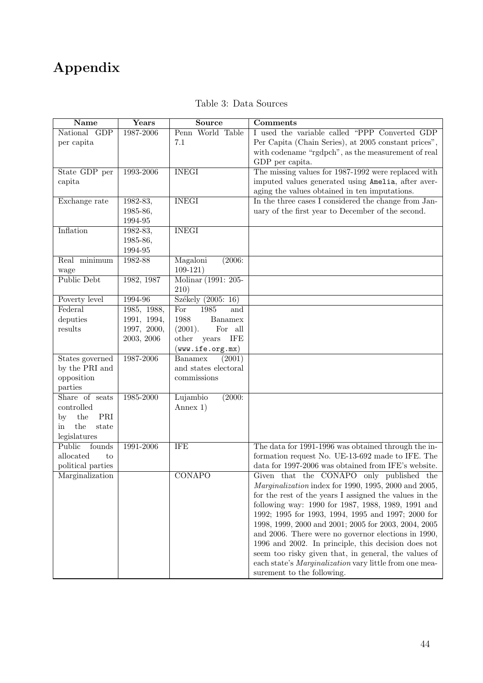# Appendix

| Name                | Years                     | Source                                    | Comments                                                    |
|---------------------|---------------------------|-------------------------------------------|-------------------------------------------------------------|
| National GDP        | 1987-2006                 | Penn World Table                          | I used the variable called "PPP Converted GDP               |
| per capita          |                           | 7.1                                       | Per Capita (Chain Series), at 2005 constant prices",        |
|                     |                           |                                           | with codename "rgdpch", as the measurement of real          |
|                     |                           |                                           | GDP per capita.                                             |
| State GDP per       | 1993-2006                 | <b>INEGI</b>                              | The missing values for 1987-1992 were replaced with         |
| capita              |                           |                                           | imputed values generated using Amelia, after aver-          |
|                     |                           |                                           | aging the values obtained in ten imputations.               |
| Exchange rate       | 1982-83,                  | <b>INEGI</b>                              | In the three cases I considered the change from Jan-        |
|                     | 1985-86,                  |                                           | uary of the first year to December of the second.           |
|                     | 1994-95                   |                                           |                                                             |
| Inflation           | 1982-83,                  | <b>INEGI</b>                              |                                                             |
|                     | 1985-86,                  |                                           |                                                             |
|                     | 1994-95                   |                                           |                                                             |
| Real minimum        | 1982-88                   | Magaloni<br>(2006:                        |                                                             |
| wage                |                           | $109-121)$                                |                                                             |
| Public Debt         | 1982, 1987                | Molinar (1991: 205-                       |                                                             |
|                     |                           | 210)                                      |                                                             |
| Poverty level       | 1994-96                   | Székely (2005: 16)                        |                                                             |
| Federal             | 1985, 1988,               | 1985<br>For<br>and                        |                                                             |
| deputies<br>results | 1991, 1994,               | 1988<br>Banamex                           |                                                             |
|                     | 1997, 2000,<br>2003, 2006 | (2001).<br>For all<br>other<br><b>IFE</b> |                                                             |
|                     |                           | years<br>(www.ife.org.mx)                 |                                                             |
| States governed     | 1987-2006                 | Banamex<br>(2001)                         |                                                             |
| by the PRI and      |                           | and states electoral                      |                                                             |
| opposition          |                           | commissions                               |                                                             |
| parties             |                           |                                           |                                                             |
| Share of seats      | 1985-2000                 | (2000:<br>Lujambio                        |                                                             |
| controlled          |                           | Annex $1)$                                |                                                             |
| the<br>PRI<br>by    |                           |                                           |                                                             |
| the<br>state<br>in  |                           |                                           |                                                             |
| legislatures        |                           |                                           |                                                             |
| Public<br>founds    | 1991-2006                 | <b>IFE</b>                                | The data for 1991-1996 was obtained through the in-         |
| allocated<br>to     |                           |                                           | formation request No. UE-13-692 made to IFE. The            |
| political parties   |                           |                                           | data for 1997-2006 was obtained from IFE's website.         |
| Marginalization     |                           | <b>CONAPO</b>                             | Given that the CONAPO only published the                    |
|                     |                           |                                           | <i>Marginalization</i> index for 1990, 1995, 2000 and 2005, |
|                     |                           |                                           | for the rest of the years I assigned the values in the      |
|                     |                           |                                           | following way: 1990 for 1987, 1988, 1989, 1991 and          |
|                     |                           |                                           | 1992; 1995 for 1993, 1994, 1995 and 1997; 2000 for          |
|                     |                           |                                           | 1998, 1999, 2000 and 2001; 2005 for 2003, 2004, 2005        |
|                     |                           |                                           | and 2006. There were no governor elections in 1990,         |
|                     |                           |                                           | 1996 and 2002. In principle, this decision does not         |
|                     |                           |                                           | seem too risky given that, in general, the values of        |
|                     |                           |                                           | each state's Marginalization vary little from one mea-      |
|                     |                           |                                           | surement to the following.                                  |

### Table 3: Data Sources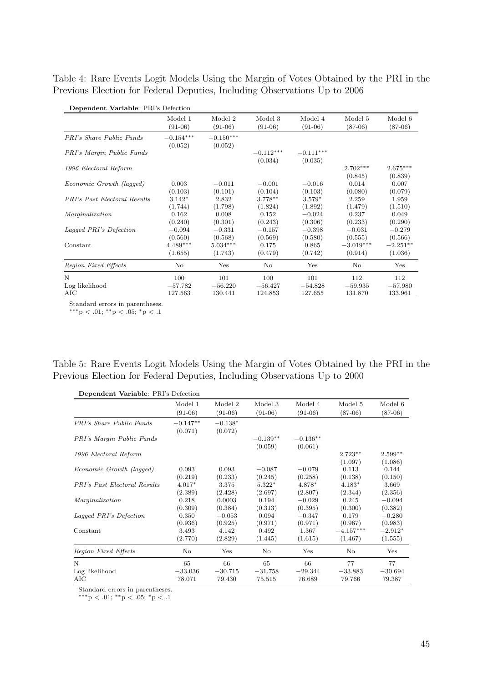Table 4: Rare Events Logit Models Using the Margin of Votes Obtained by the PRI in the Previous Election for Federal Deputies, Including Observations Up to 2006

| Dependent variable. Fig. s Detection |                  |             |             |             |             |            |
|--------------------------------------|------------------|-------------|-------------|-------------|-------------|------------|
|                                      | Model 1          | Model 2     | Model 3     | Model 4     | Model 5     | Model 6    |
|                                      | $(91-06)$        | $(91-06)$   | $(91-06)$   | $(91-06)$   | $(87-06)$   | $(87-06)$  |
| <b>PRI's Share Public Funds</b>      | $-0.154^{***}\,$ | $-0.150***$ |             |             |             |            |
|                                      | (0.052)          | (0.052)     |             |             |             |            |
| PRI's Margin Public Funds            |                  |             | $-0.112***$ | $-0.111***$ |             |            |
|                                      |                  |             | (0.034)     | (0.035)     |             |            |
| 1996 Electoral Reform                |                  |             |             |             | $2.702***$  | $2.675***$ |
|                                      |                  |             |             |             | (0.845)     | (0.839)    |
| Economic Growth (lagged)             | 0.003            | $-0.011$    | $-0.001$    | $-0.016$    | 0.014       | 0.007      |
|                                      | (0.103)          | (0.101)     | (0.104)     | (0.103)     | (0.080)     | (0.079)    |
| <b>PRI's Past Electoral Results</b>  | $3.142*$         | 2.832       | $3.778**$   | $3.579*$    | 2.259       | 1.959      |
|                                      | (1.744)          | (1.798)     | (1.824)     | (1.892)     | (1.479)     | (1.510)    |
| Marginalization                      | 0.162            | 0.008       | 0.152       | $-0.024$    | 0.237       | 0.049      |
|                                      | (0.240)          | (0.301)     | (0.243)     | (0.306)     | (0.233)     | (0.290)    |
| Lagged PRI's Defection               | $-0.094$         | $-0.331$    | $-0.157$    | $-0.398$    | $-0.031$    | $-0.279$   |
|                                      | (0.560)          | (0.568)     | (0.569)     | (0.580)     | (0.555)     | (0.566)    |
| Constant                             | $4.489***$       | $5.034***$  | 0.175       | 0.865       | $-3.019***$ | $-2.251**$ |
|                                      | (1.655)          | (1.743)     | (0.479)     | (0.742)     | (0.914)     | (1.036)    |
| Region Fixed Effects                 | No               | Yes         | No          | Yes         | No          | Yes        |
| N                                    | 100              | 101         | 100         | 101         | 112         | 112        |
| Log likelihood                       | $-57.782$        | $-56.220$   | $-56.427$   | $-54.828$   | $-59.935$   | $-57.980$  |
| AIC                                  | 127.563          | 130.441     | 124.853     | 127.655     | 131.870     | 133.961    |

Dependent Variable: PRI's Defection

Standard errors in parentheses.

∗∗∗p < .01; ∗∗p < .05; <sup>∗</sup>p < .1

Table 5: Rare Events Logit Models Using the Margin of Votes Obtained by the PRI in the Previous Election for Federal Deputies, Including Observations Up to 2000

|                                     | Model 1    | Model 2   | Model 3    | Model 4    | Model 5     | Model 6   |
|-------------------------------------|------------|-----------|------------|------------|-------------|-----------|
|                                     | $(91-06)$  | $(91-06)$ | $(91-06)$  | $(91-06)$  | $(87-06)$   | $(87-06)$ |
| <b>PRI's Share Public Funds</b>     | $-0.147**$ | $-0.138*$ |            |            |             |           |
|                                     | (0.071)    | (0.072)   |            |            |             |           |
| PRI's Margin Public Funds           |            |           | $-0.139**$ | $-0.136**$ |             |           |
|                                     |            |           | (0.059)    | (0.061)    |             |           |
| 1996 Electoral Reform               |            |           |            |            | $2.723**$   | $2.599**$ |
|                                     |            |           |            |            | (1.097)     | (1.086)   |
| Economic Growth (lagged)            | 0.093      | 0.093     | $-0.087$   | $-0.079$   | 0.113       | 0.144     |
|                                     | (0.219)    | (0.233)   | (0.245)    | (0.258)    | (0.138)     | (0.150)   |
| <b>PRI's Past Electoral Results</b> | $4.017*$   | 3.375     | $5.322*$   | 4.878*     | $4.183*$    | 3.669     |
|                                     | (2.389)    | (2.428)   | (2.697)    | (2.807)    | (2.344)     | (2.356)   |
| Marginalization                     | 0.218      | 0.0003    | 0.194      | $-0.029$   | 0.245       | $-0.094$  |
|                                     | (0.309)    | (0.384)   | (0.313)    | (0.395)    | (0.300)     | (0.382)   |
| Lagged PRI's Defection              | 0.350      | $-0.053$  | 0.094      | $-0.347$   | 0.179       | $-0.280$  |
|                                     | (0.936)    | (0.925)   | (0.971)    | (0.971)    | (0.967)     | (0.983)   |
| Constant                            | 3.493      | 4.142     | 0.492      | 1.367      | $-4.157***$ | $-2.912*$ |
|                                     | (2.770)    | (2.829)   | (1.445)    | (1.615)    | (1.467)     | (1.555)   |
| Region Fixed Effects                | No         | Yes       | No         | Yes        | No          | Yes       |
| N                                   | 65         | 66        | 65         | 66         | 77          | 77        |
| Log likelihood                      | $-33.036$  | $-30.715$ | $-31.758$  | $-29.344$  | $-33.883$   | $-30.694$ |
| AIC                                 | 78.071     | 79.430    | 75.515     | 76.689     | 79.766      | 79.387    |

Standard errors in parentheses.

∗∗∗p < .01; ∗∗p < .05; <sup>∗</sup>p < .1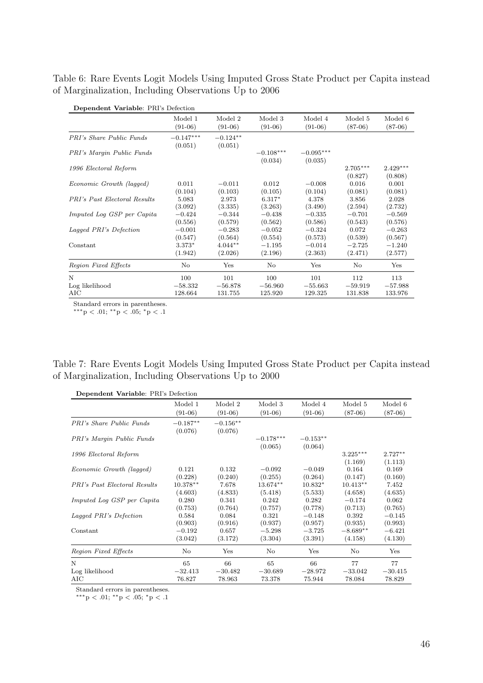Table 6: Rare Events Logit Models Using Imputed Gross State Product per Capita instead of Marginalization, Including Observations Up to 2006

| Dependent Variable: PRI's Defection |             |            |             |             |            |            |
|-------------------------------------|-------------|------------|-------------|-------------|------------|------------|
|                                     | Model 1     | Model 2    | Model 3     | Model 4     | Model 5    | Model 6    |
|                                     | $(91-06)$   | $(91-06)$  | $(91-06)$   | $(91-06)$   | $(87-06)$  | $(87-06)$  |
| <b>PRI's Share Public Funds</b>     | $-0.147***$ | $-0.124**$ |             |             |            |            |
|                                     | (0.051)     | (0.051)    |             |             |            |            |
| PRI's Margin Public Funds           |             |            | $-0.108***$ | $-0.095***$ |            |            |
|                                     |             |            | (0.034)     | (0.035)     |            |            |
| 1996 Electoral Reform               |             |            |             |             | $2.705***$ | $2.429***$ |
|                                     |             |            |             |             | (0.827)    | (0.808)    |
| Economic Growth (lagged)            | 0.011       | $-0.011$   | 0.012       | $-0.008$    | 0.016      | 0.001      |
|                                     | (0.104)     | (0.103)    | (0.105)     | (0.104)     | (0.081)    | (0.081)    |
| <b>PRI's Past Electoral Results</b> | 5.083       | 2.973      | $6.317*$    | 4.378       | 3.856      | 2.028      |
|                                     | (3.092)     | (3.335)    | (3.263)     | (3.490)     | (2.594)    | (2.732)    |
| Imputed Log GSP per Capita          | $-0.424$    | $-0.344$   | $-0.438$    | $-0.335$    | $-0.701$   | $-0.569$   |
|                                     | (0.556)     | (0.579)    | (0.562)     | (0.586)     | (0.543)    | (0.576)    |
| Lagged PRI's Defection              | $-0.001$    | $-0.283$   | $-0.052$    | $-0.324$    | 0.072      | $-0.263$   |
|                                     | (0.547)     | (0.564)    | (0.554)     | (0.573)     | (0.539)    | (0.567)    |
| Constant                            | $3.373*$    | $4.044**$  | $-1.195$    | $-0.014$    | $-2.725$   | $-1.240$   |
|                                     | (1.942)     | (2.026)    | (2.196)     | (2.363)     | (2.471)    | (2.577)    |
| Region Fixed Effects                | No          | Yes        | No          | Yes         | No         | Yes        |
| N                                   | 100         | 101        | 100         | 101         | 112        | 113        |
| Log likelihood                      | $-58.332$   | $-56.878$  | $-56.960$   | $-55.663$   | $-59.919$  | $-57.988$  |
| AIC                                 | 128.664     | 131.755    | 125.920     | 129.325     | 131.838    | 133.976    |

Standard errors in parentheses.

∗∗∗p < .01; ∗∗p < .05; <sup>∗</sup>p < .1

| Table 7: Rare Events Logit Models Using Imputed Gross State Product per Capita instead |  |  |  |
|----------------------------------------------------------------------------------------|--|--|--|
| of Marginalization, Including Observations Up to 2000                                  |  |  |  |

| Dependent Variable: PRI's Defection |                       |                       |                        |                       |                       |                      |  |  |
|-------------------------------------|-----------------------|-----------------------|------------------------|-----------------------|-----------------------|----------------------|--|--|
|                                     | Model 1               | Model 2               | Model 3                | Model 4               | Model 5               | Model 6              |  |  |
|                                     | $(91-06)$             | $(91-06)$             | $(91-06)$              | $(91-06)$             | $(87-06)$             | $(87-06)$            |  |  |
| <b>PRI's Share Public Funds</b>     | $-0.187**$<br>(0.076) | $-0.156**$<br>(0.076) |                        |                       |                       |                      |  |  |
| PRI's Margin Public Funds           |                       |                       | $-0.178***$<br>(0.065) | $-0.153**$<br>(0.064) |                       |                      |  |  |
| 1996 Electoral Reform               |                       |                       |                        |                       | $3.225***$<br>(1.169) | $2.727**$<br>(1.113) |  |  |
| Economic Growth (lagged)            | 0.121                 | 0.132                 | $-0.092$               | $-0.049$              | 0.164                 | 0.169                |  |  |
|                                     | (0.228)               | (0.240)               | (0.255)                | (0.264)               | (0.147)               | (0.160)              |  |  |
| <b>PRI's Past Electoral Results</b> | $10.378**$            | 7.678                 | 13.674**               | $10.832*$             | $10.413**$            | 7.452                |  |  |
|                                     | (4.603)               | (4.833)               | (5.418)                | (5.533)               | (4.658)               | (4.635)              |  |  |
| <i>Imputed Log GSP per Capita</i>   | 0.280                 | 0.341                 | 0.242                  | 0.282                 | $-0.174$              | 0.062                |  |  |
|                                     | (0.753)               | (0.764)               | (0.757)                | (0.778)               | (0.713)               | (0.765)              |  |  |
| Lagged PRI's Defection              | 0.584                 | 0.084                 | 0.321                  | $-0.148$              | 0.392                 | $-0.145$             |  |  |
|                                     | (0.903)               | (0.916)               | (0.937)                | (0.957)               | (0.935)               | (0.993)              |  |  |
| Constant                            | $-0.192$              | 0.657                 | $-5.298$               | $-3.725$              | $-8.689**$            | $-6.421$             |  |  |
|                                     | (3.042)               | (3.172)               | (3.304)                | (3.391)               | (4.158)               | (4.130)              |  |  |
| Region Fixed Effects                | No                    | Yes                   | No                     | Yes                   | No                    | Yes                  |  |  |
| N                                   | 65                    | 66                    | 65                     | 66                    | 77                    | 77                   |  |  |
| Log likelihood                      | $-32.413$             | $-30.482$             | $-30.689$              | $-28.972$             | $-33.042$             | $-30.415$            |  |  |
| AIC                                 | 76.827                | 78.963                | 73.378                 | 75.944                | 78.084                | 78.829               |  |  |

Standard errors in parentheses.

∗∗∗p < .01; ∗∗p < .05; <sup>∗</sup>p < .1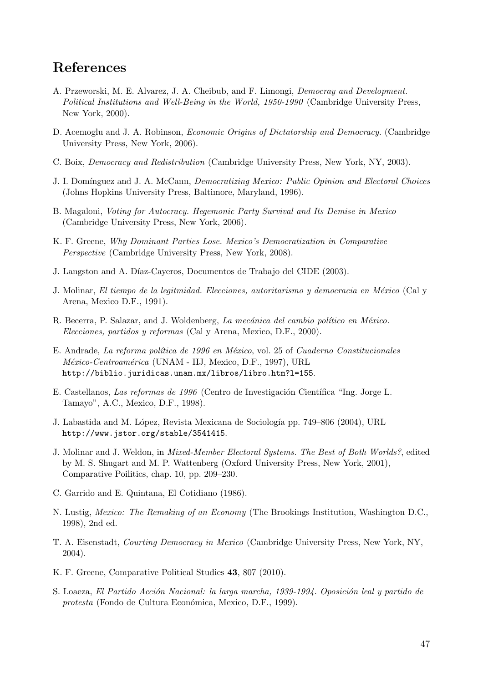## References

- A. Przeworski, M. E. Alvarez, J. A. Cheibub, and F. Limongi, Democray and Development. Political Institutions and Well-Being in the World, 1950-1990 (Cambridge University Press, New York, 2000).
- D. Acemoglu and J. A. Robinson, Economic Origins of Dictatorship and Democracy. (Cambridge University Press, New York, 2006).
- C. Boix, Democracy and Redistribution (Cambridge University Press, New York, NY, 2003).
- J. I. Domínguez and J. A. McCann, *Democratizing Mexico: Public Opinion and Electoral Choices* (Johns Hopkins University Press, Baltimore, Maryland, 1996).
- B. Magaloni, Voting for Autocracy. Hegemonic Party Survival and Its Demise in Mexico (Cambridge University Press, New York, 2006).
- K. F. Greene, Why Dominant Parties Lose. Mexico's Democratization in Comparative Perspective (Cambridge University Press, New York, 2008).
- J. Langston and A. Díaz-Cayeros, Documentos de Trabajo del CIDE (2003).
- J. Molinar, El tiempo de la legitmidad. Elecciones, autoritarismo y democracia en México (Cal y Arena, Mexico D.F., 1991).
- R. Becerra, P. Salazar, and J. Woldenberg, La mecánica del cambio político en México. Elecciones, partidos y reformas (Cal y Arena, Mexico, D.F., 2000).
- E. Andrade, La reforma política de 1996 en México, vol. 25 of Cuaderno Constitucionales México-Centroamérica (UNAM - IIJ, Mexico, D.F., 1997), URL http://biblio.juridicas.unam.mx/libros/libro.htm?l=155.
- E. Castellanos, Las reformas de 1996 (Centro de Investigación Científica "Ing. Jorge L. Tamayo", A.C., Mexico, D.F., 1998).
- J. Labastida and M. López, Revista Mexicana de Sociología pp. 749–806 (2004), URL http://www.jstor.org/stable/3541415.
- J. Molinar and J. Weldon, in Mixed-Member Electoral Systems. The Best of Both Worlds?, edited by M. S. Shugart and M. P. Wattenberg (Oxford University Press, New York, 2001), Comparative Poilitics, chap. 10, pp. 209–230.
- C. Garrido and E. Quintana, El Cotidiano (1986).
- N. Lustig, Mexico: The Remaking of an Economy (The Brookings Institution, Washington D.C., 1998), 2nd ed.
- T. A. Eisenstadt, Courting Democracy in Mexico (Cambridge University Press, New York, NY, 2004).
- K. F. Greene, Comparative Political Studies 43, 807 (2010).
- S. Loaeza, El Partido Acción Nacional: la larga marcha, 1939-1994. Oposición leal y partido de protesta (Fondo de Cultura Económica, Mexico, D.F., 1999).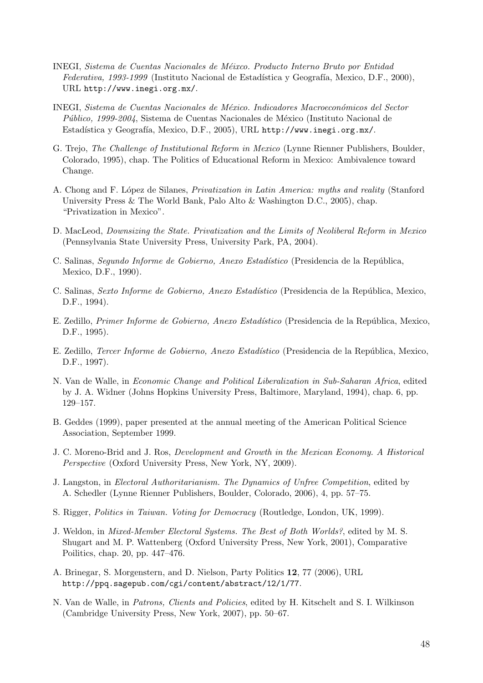- INEGI, Sistema de Cuentas Nacionales de Méixco. Producto Interno Bruto por Entidad Federativa, 1993-1999 (Instituto Nacional de Estadística y Geografía, Mexico, D.F., 2000), URL http://www.inegi.org.mx/.
- INEGI, Sistema de Cuentas Nacionales de México. Indicadores Macroeconómicos del Sector Público, 1999-2004, Sistema de Cuentas Nacionales de México (Instituto Nacional de Estadística y Geografía, Mexico, D.F., 2005), URL http://www.inegi.org.mx/.
- G. Trejo, The Challenge of Institutional Reform in Mexico (Lynne Rienner Publishers, Boulder, Colorado, 1995), chap. The Politics of Educational Reform in Mexico: Ambivalence toward Change.
- A. Chong and F. López de Silanes, *Privatization in Latin America: myths and reality* (Stanford University Press & The World Bank, Palo Alto & Washington D.C., 2005), chap. "Privatization in Mexico".
- D. MacLeod, Downsizing the State. Privatization and the Limits of Neoliberal Reform in Mexico (Pennsylvania State University Press, University Park, PA, 2004).
- C. Salinas, Segundo Informe de Gobierno, Anexo Estadístico (Presidencia de la República, Mexico, D.F., 1990).
- C. Salinas, Sexto Informe de Gobierno, Anexo Estadístico (Presidencia de la República, Mexico, D.F., 1994).
- E. Zedillo, Primer Informe de Gobierno, Anexo Estadístico (Presidencia de la República, Mexico, D.F., 1995).
- E. Zedillo, *Tercer Informe de Gobierno, Anexo Estadístico* (Presidencia de la República, Mexico, D.F., 1997).
- N. Van de Walle, in Economic Change and Political Liberalization in Sub-Saharan Africa, edited by J. A. Widner (Johns Hopkins University Press, Baltimore, Maryland, 1994), chap. 6, pp. 129–157.
- B. Geddes (1999), paper presented at the annual meeting of the American Political Science Association, September 1999.
- J. C. Moreno-Brid and J. Ros, Development and Growth in the Mexican Economy. A Historical Perspective (Oxford University Press, New York, NY, 2009).
- J. Langston, in Electoral Authoritarianism. The Dynamics of Unfree Competition, edited by A. Schedler (Lynne Rienner Publishers, Boulder, Colorado, 2006), 4, pp. 57–75.
- S. Rigger, Politics in Taiwan. Voting for Democracy (Routledge, London, UK, 1999).
- J. Weldon, in Mixed-Member Electoral Systems. The Best of Both Worlds?, edited by M. S. Shugart and M. P. Wattenberg (Oxford University Press, New York, 2001), Comparative Poilitics, chap. 20, pp. 447–476.
- A. Brinegar, S. Morgenstern, and D. Nielson, Party Politics 12, 77 (2006), URL http://ppq.sagepub.com/cgi/content/abstract/12/1/77.
- N. Van de Walle, in *Patrons, Clients and Policies*, edited by H. Kitschelt and S. I. Wilkinson (Cambridge University Press, New York, 2007), pp. 50–67.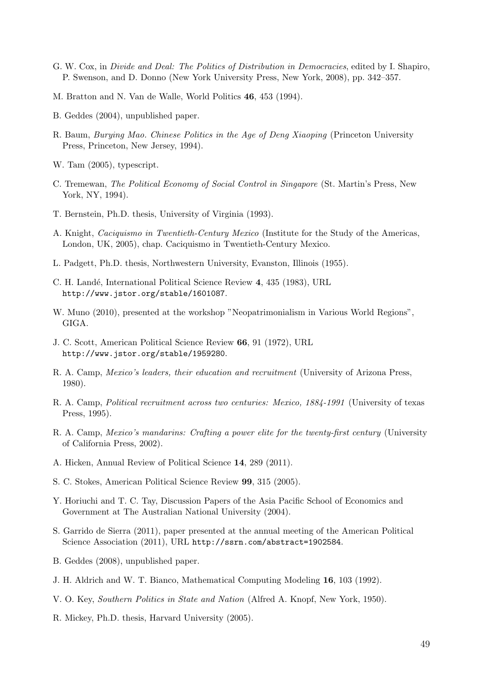- G. W. Cox, in Divide and Deal: The Politics of Distribution in Democracies, edited by I. Shapiro, P. Swenson, and D. Donno (New York University Press, New York, 2008), pp. 342–357.
- M. Bratton and N. Van de Walle, World Politics 46, 453 (1994).
- B. Geddes (2004), unpublished paper.
- R. Baum, Burying Mao. Chinese Politics in the Age of Deng Xiaoping (Princeton University Press, Princeton, New Jersey, 1994).
- W. Tam (2005), typescript.
- C. Tremewan, The Political Economy of Social Control in Singapore (St. Martin's Press, New York, NY, 1994).
- T. Bernstein, Ph.D. thesis, University of Virginia (1993).
- A. Knight, Caciquismo in Twentieth-Century Mexico (Institute for the Study of the Americas, London, UK, 2005), chap. Caciquismo in Twentieth-Century Mexico.
- L. Padgett, Ph.D. thesis, Northwestern University, Evanston, Illinois (1955).
- C. H. Landé, International Political Science Review 4, 435 (1983), URL http://www.jstor.org/stable/1601087.
- W. Muno (2010), presented at the workshop "Neopatrimonialism in Various World Regions", GIGA.
- J. C. Scott, American Political Science Review 66, 91 (1972), URL http://www.jstor.org/stable/1959280.
- R. A. Camp, Mexico's leaders, their education and recruitment (University of Arizona Press, 1980).
- R. A. Camp, Political recruitment across two centuries: Mexico, 1884-1991 (University of texas Press, 1995).
- R. A. Camp, *Mexico's mandarins: Crafting a power elite for the twenty-first century* (University of California Press, 2002).
- A. Hicken, Annual Review of Political Science 14, 289 (2011).
- S. C. Stokes, American Political Science Review 99, 315 (2005).
- Y. Horiuchi and T. C. Tay, Discussion Papers of the Asia Pacific School of Economics and Government at The Australian National University (2004).
- S. Garrido de Sierra (2011), paper presented at the annual meeting of the American Political Science Association (2011), URL http://ssrn.com/abstract=1902584.
- B. Geddes (2008), unpublished paper.
- J. H. Aldrich and W. T. Bianco, Mathematical Computing Modeling 16, 103 (1992).
- V. O. Key, Southern Politics in State and Nation (Alfred A. Knopf, New York, 1950).
- R. Mickey, Ph.D. thesis, Harvard University (2005).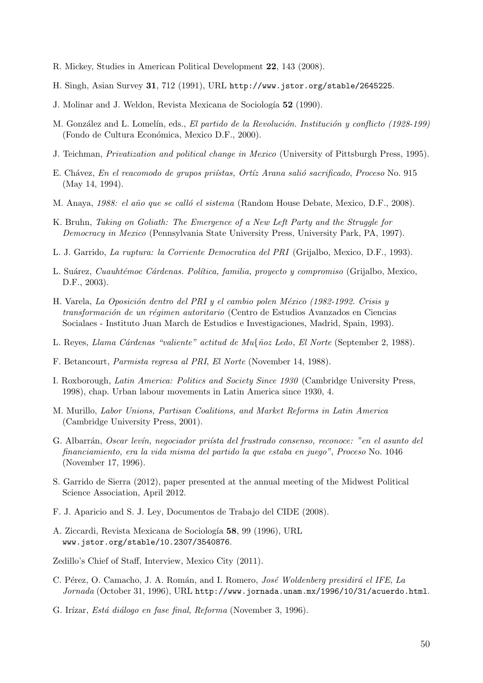- R. Mickey, Studies in American Political Development 22, 143 (2008).
- H. Singh, Asian Survey 31, 712 (1991), URL http://www.jstor.org/stable/2645225.
- J. Molinar and J. Weldon, Revista Mexicana de Sociología 52 (1990).
- M. González and L. Lomelín, eds., El partido de la Revolución. Institución y conflicto (1928-199) (Fondo de Cultura Económica, Mexico D.F., 2000).
- J. Teichman, Privatization and political change in Mexico (University of Pittsburgh Press, 1995).
- E. Chávez, En el reacomodo de grupos priístas, Ortíz Arana salió sacrificado, Proceso No. 915 (May 14, 1994).
- M. Anaya, 1988: el año que se calló el sistema (Random House Debate, Mexico, D.F., 2008).
- K. Bruhn, Taking on Goliath: The Emergence of a New Left Party and the Struggle for Democracy in Mexico (Pennsylvania State University Press, University Park, PA, 1997).
- L. J. Garrido, La ruptura: la Corriente Democratica del PRI (Grijalbo, Mexico, D.F., 1993).
- L. Suárez, Cuauhtémoc Cárdenas. Política, familia, proyecto y compromiso (Grijalbo, Mexico, D.F., 2003).
- H. Varela, La Oposición dentro del PRI y el cambio polen México (1982-1992. Crisis y transformación de un régimen autoritario (Centro de Estudios Avanzados en Ciencias Socialaes - Instituto Juan March de Estudios e Investigaciones, Madrid, Spain, 1993).
- L. Reyes, Llama Cárdenas "valiente" actitud de Mu{ñoz Ledo, El Norte (September 2, 1988).
- F. Betancourt, Parmista regresa al PRI, El Norte (November 14, 1988).
- I. Roxborough, Latin America: Politics and Society Since 1930 (Cambridge University Press, 1998), chap. Urban labour movements in Latin America since 1930, 4.
- M. Murillo, Labor Unions, Partisan Coalitions, and Market Reforms in Latin America (Cambridge University Press, 2001).
- G. Albarrán, Oscar levín, negociador priísta del frustrado consenso, reconoce: "en el asunto del financiamiento, era la vida misma del partido la que estaba en juego", Proceso No. 1046 (November 17, 1996).
- S. Garrido de Sierra (2012), paper presented at the annual meeting of the Midwest Political Science Association, April 2012.
- F. J. Aparicio and S. J. Ley, Documentos de Trabajo del CIDE (2008).
- A. Ziccardi, Revista Mexicana de Sociología 58, 99 (1996), URL www.jstor.org/stable/10.2307/3540876.
- Zedillo's Chief of Staff, Interview, Mexico City (2011).
- C. Pérez, O. Camacho, J. A. Román, and I. Romero, *José Woldenberg presidirá el IFE*, La Jornada (October 31, 1996), URL http://www.jornada.unam.mx/1996/10/31/acuerdo.html.
- G. Irízar, Está diálogo en fase final, Reforma (November 3, 1996).